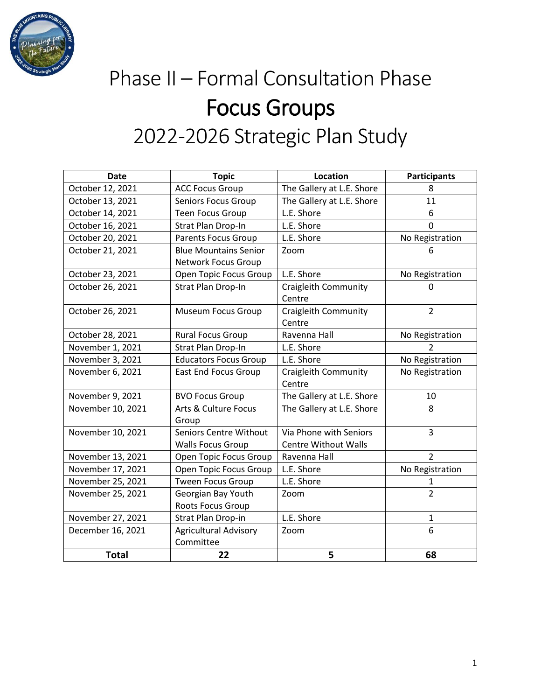

# Phase II – Formal Consultation Phase Focus Groups 2022-2026 Strategic Plan Study

| <b>Date</b>       | <b>Topic</b>                                              | <b>Location</b>                                       | <b>Participants</b> |
|-------------------|-----------------------------------------------------------|-------------------------------------------------------|---------------------|
| October 12, 2021  | <b>ACC Focus Group</b>                                    | The Gallery at L.E. Shore                             | 8                   |
| October 13, 2021  | Seniors Focus Group                                       | The Gallery at L.E. Shore                             | 11                  |
| October 14, 2021  | <b>Teen Focus Group</b>                                   | L.E. Shore                                            | 6                   |
| October 16, 2021  | Strat Plan Drop-In                                        | L.E. Shore                                            | $\mathbf 0$         |
| October 20, 2021  | <b>Parents Focus Group</b>                                | L.E. Shore                                            | No Registration     |
| October 21, 2021  | <b>Blue Mountains Senior</b><br>Network Focus Group       | Zoom                                                  | 6                   |
| October 23, 2021  |                                                           | L.E. Shore                                            |                     |
|                   | Open Topic Focus Group                                    |                                                       | No Registration     |
| October 26, 2021  | Strat Plan Drop-In                                        | <b>Craigleith Community</b><br>Centre                 | 0                   |
| October 26, 2021  | <b>Museum Focus Group</b>                                 | <b>Craigleith Community</b><br>Centre                 | $\overline{2}$      |
| October 28, 2021  | <b>Rural Focus Group</b>                                  | Ravenna Hall                                          | No Registration     |
| November 1, 2021  | Strat Plan Drop-In                                        | L.E. Shore                                            | 2                   |
| November 3, 2021  | <b>Educators Focus Group</b>                              | L.E. Shore                                            | No Registration     |
| November 6, 2021  | <b>East End Focus Group</b>                               | <b>Craigleith Community</b><br>Centre                 | No Registration     |
| November 9, 2021  | <b>BVO Focus Group</b>                                    | The Gallery at L.E. Shore                             | 10                  |
| November 10, 2021 | Arts & Culture Focus<br>Group                             | The Gallery at L.E. Shore                             | 8                   |
| November 10, 2021 | <b>Seniors Centre Without</b><br><b>Walls Focus Group</b> | Via Phone with Seniors<br><b>Centre Without Walls</b> | 3                   |
| November 13, 2021 | Open Topic Focus Group                                    | Ravenna Hall                                          | $\mathcal{P}$       |
| November 17, 2021 | Open Topic Focus Group                                    | L.E. Shore                                            | No Registration     |
| November 25, 2021 | <b>Tween Focus Group</b>                                  | L.E. Shore                                            | 1                   |
| November 25, 2021 | Georgian Bay Youth                                        | Zoom                                                  | $\overline{2}$      |
|                   | Roots Focus Group                                         |                                                       |                     |
| November 27, 2021 | Strat Plan Drop-in                                        | L.E. Shore                                            | 1                   |
| December 16, 2021 | <b>Agricultural Advisory</b><br>Committee                 | Zoom                                                  | 6                   |
| <b>Total</b>      | 22                                                        | 5                                                     | 68                  |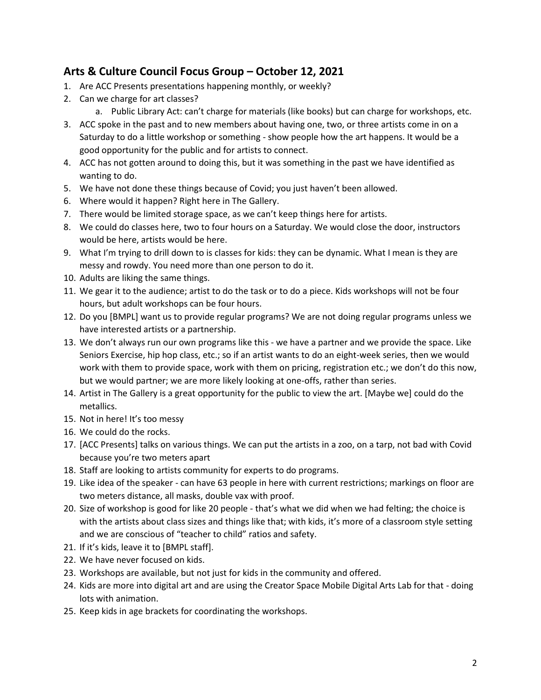# **Arts & Culture Council Focus Group – October 12, 2021**

- 1. Are ACC Presents presentations happening monthly, or weekly?
- 2. Can we charge for art classes?
	- a. Public Library Act: can't charge for materials (like books) but can charge for workshops, etc.
- 3. ACC spoke in the past and to new members about having one, two, or three artists come in on a Saturday to do a little workshop or something - show people how the art happens. It would be a good opportunity for the public and for artists to connect.
- 4. ACC has not gotten around to doing this, but it was something in the past we have identified as wanting to do.
- 5. We have not done these things because of Covid; you just haven't been allowed.
- 6. Where would it happen? Right here in The Gallery.
- 7. There would be limited storage space, as we can't keep things here for artists.
- 8. We could do classes here, two to four hours on a Saturday. We would close the door, instructors would be here, artists would be here.
- 9. What I'm trying to drill down to is classes for kids: they can be dynamic. What I mean is they are messy and rowdy. You need more than one person to do it.
- 10. Adults are liking the same things.
- 11. We gear it to the audience; artist to do the task or to do a piece. Kids workshops will not be four hours, but adult workshops can be four hours.
- 12. Do you [BMPL] want us to provide regular programs? We are not doing regular programs unless we have interested artists or a partnership.
- 13. We don't always run our own programs like this we have a partner and we provide the space. Like Seniors Exercise, hip hop class, etc.; so if an artist wants to do an eight-week series, then we would work with them to provide space, work with them on pricing, registration etc.; we don't do this now, but we would partner; we are more likely looking at one-offs, rather than series.
- 14. Artist in The Gallery is a great opportunity for the public to view the art. [Maybe we] could do the metallics.
- 15. Not in here! It's too messy
- 16. We could do the rocks.
- 17. [ACC Presents] talks on various things. We can put the artists in a zoo, on a tarp, not bad with Covid because you're two meters apart
- 18. Staff are looking to artists community for experts to do programs.
- 19. Like idea of the speaker can have 63 people in here with current restrictions; markings on floor are two meters distance, all masks, double vax with proof.
- 20. Size of workshop is good for like 20 people that's what we did when we had felting; the choice is with the artists about class sizes and things like that; with kids, it's more of a classroom style setting and we are conscious of "teacher to child" ratios and safety.
- 21. If it's kids, leave it to [BMPL staff].
- 22. We have never focused on kids.
- 23. Workshops are available, but not just for kids in the community and offered.
- 24. Kids are more into digital art and are using the Creator Space Mobile Digital Arts Lab for that doing lots with animation.
- 25. Keep kids in age brackets for coordinating the workshops.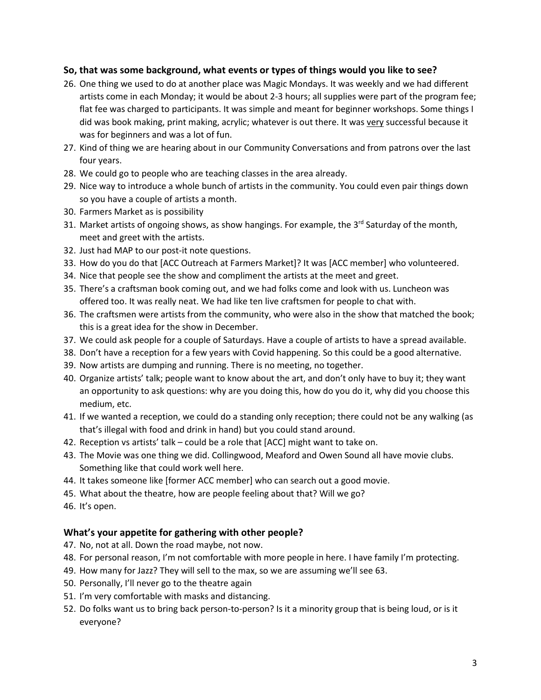#### **So, that was some background, what events or types of things would you like to see?**

- 26. One thing we used to do at another place was Magic Mondays. It was weekly and we had different artists come in each Monday; it would be about 2-3 hours; all supplies were part of the program fee; flat fee was charged to participants. It was simple and meant for beginner workshops. Some things I did was book making, print making, acrylic; whatever is out there. It was very successful because it was for beginners and was a lot of fun.
- 27. Kind of thing we are hearing about in our Community Conversations and from patrons over the last four years.
- 28. We could go to people who are teaching classes in the area already.
- 29. Nice way to introduce a whole bunch of artists in the community. You could even pair things down so you have a couple of artists a month.
- 30. Farmers Market as is possibility
- 31. Market artists of ongoing shows, as show hangings. For example, the 3<sup>rd</sup> Saturday of the month, meet and greet with the artists.
- 32. Just had MAP to our post-it note questions.
- 33. How do you do that [ACC Outreach at Farmers Market]? It was [ACC member] who volunteered.
- 34. Nice that people see the show and compliment the artists at the meet and greet.
- 35. There's a craftsman book coming out, and we had folks come and look with us. Luncheon was offered too. It was really neat. We had like ten live craftsmen for people to chat with.
- 36. The craftsmen were artists from the community, who were also in the show that matched the book; this is a great idea for the show in December.
- 37. We could ask people for a couple of Saturdays. Have a couple of artists to have a spread available.
- 38. Don't have a reception for a few years with Covid happening. So this could be a good alternative.
- 39. Now artists are dumping and running. There is no meeting, no together.
- 40. Organize artists' talk; people want to know about the art, and don't only have to buy it; they want an opportunity to ask questions: why are you doing this, how do you do it, why did you choose this medium, etc.
- 41. If we wanted a reception, we could do a standing only reception; there could not be any walking (as that's illegal with food and drink in hand) but you could stand around.
- 42. Reception vs artists' talk could be a role that [ACC] might want to take on.
- 43. The Movie was one thing we did. Collingwood, Meaford and Owen Sound all have movie clubs. Something like that could work well here.
- 44. It takes someone like [former ACC member] who can search out a good movie.
- 45. What about the theatre, how are people feeling about that? Will we go?
- 46. It's open.

#### **What's your appetite for gathering with other people?**

- 47. No, not at all. Down the road maybe, not now.
- 48. For personal reason, I'm not comfortable with more people in here. I have family I'm protecting.
- 49. How many for Jazz? They will sell to the max, so we are assuming we'll see 63.
- 50. Personally, I'll never go to the theatre again
- 51. I'm very comfortable with masks and distancing.
- 52. Do folks want us to bring back person-to-person? Is it a minority group that is being loud, or is it everyone?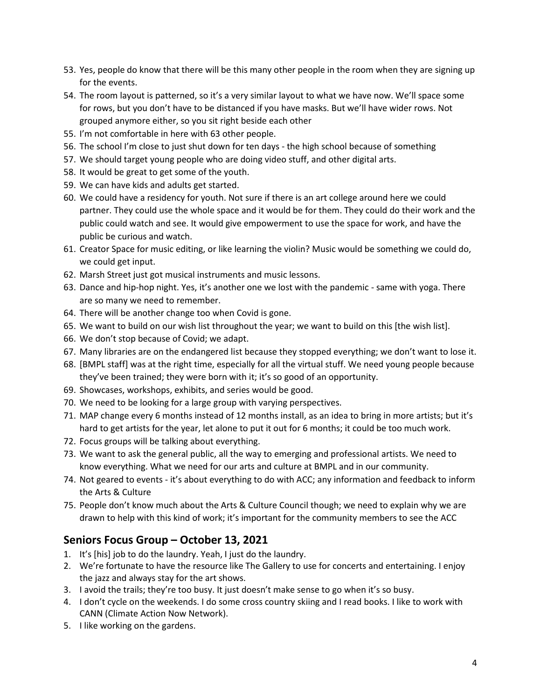- 53. Yes, people do know that there will be this many other people in the room when they are signing up for the events.
- 54. The room layout is patterned, so it's a very similar layout to what we have now. We'll space some for rows, but you don't have to be distanced if you have masks. But we'll have wider rows. Not grouped anymore either, so you sit right beside each other
- 55. I'm not comfortable in here with 63 other people.
- 56. The school I'm close to just shut down for ten days the high school because of something
- 57. We should target young people who are doing video stuff, and other digital arts.
- 58. It would be great to get some of the youth.
- 59. We can have kids and adults get started.
- 60. We could have a residency for youth. Not sure if there is an art college around here we could partner. They could use the whole space and it would be for them. They could do their work and the public could watch and see. It would give empowerment to use the space for work, and have the public be curious and watch.
- 61. Creator Space for music editing, or like learning the violin? Music would be something we could do, we could get input.
- 62. Marsh Street just got musical instruments and music lessons.
- 63. Dance and hip-hop night. Yes, it's another one we lost with the pandemic same with yoga. There are so many we need to remember.
- 64. There will be another change too when Covid is gone.
- 65. We want to build on our wish list throughout the year; we want to build on this [the wish list].
- 66. We don't stop because of Covid; we adapt.
- 67. Many libraries are on the endangered list because they stopped everything; we don't want to lose it.
- 68. [BMPL staff] was at the right time, especially for all the virtual stuff. We need young people because they've been trained; they were born with it; it's so good of an opportunity.
- 69. Showcases, workshops, exhibits, and series would be good.
- 70. We need to be looking for a large group with varying perspectives.
- 71. MAP change every 6 months instead of 12 months install, as an idea to bring in more artists; but it's hard to get artists for the year, let alone to put it out for 6 months; it could be too much work.
- 72. Focus groups will be talking about everything.
- 73. We want to ask the general public, all the way to emerging and professional artists. We need to know everything. What we need for our arts and culture at BMPL and in our community.
- 74. Not geared to events it's about everything to do with ACC; any information and feedback to inform the Arts & Culture
- 75. People don't know much about the Arts & Culture Council though; we need to explain why we are drawn to help with this kind of work; it's important for the community members to see the ACC

# **Seniors Focus Group – October 13, 2021**

- 1. It's [his] job to do the laundry. Yeah, I just do the laundry.
- 2. We're fortunate to have the resource like The Gallery to use for concerts and entertaining. I enjoy the jazz and always stay for the art shows.
- 3. I avoid the trails; they're too busy. It just doesn't make sense to go when it's so busy.
- 4. I don't cycle on the weekends. I do some cross country skiing and I read books. I like to work with CANN (Climate Action Now Network).
- 5. I like working on the gardens.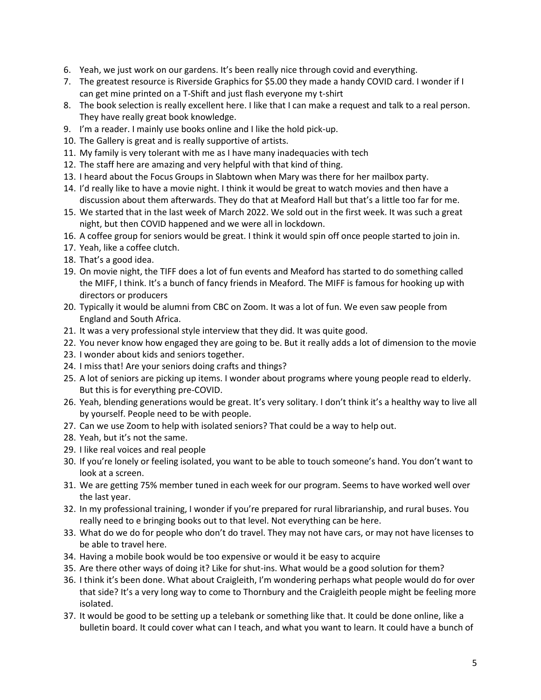- 6. Yeah, we just work on our gardens. It's been really nice through covid and everything.
- 7. The greatest resource is Riverside Graphics for \$5.00 they made a handy COVID card. I wonder if I can get mine printed on a T-Shift and just flash everyone my t-shirt
- 8. The book selection is really excellent here. I like that I can make a request and talk to a real person. They have really great book knowledge.
- 9. I'm a reader. I mainly use books online and I like the hold pick-up.
- 10. The Gallery is great and is really supportive of artists.
- 11. My family is very tolerant with me as I have many inadequacies with tech
- 12. The staff here are amazing and very helpful with that kind of thing.
- 13. I heard about the Focus Groups in Slabtown when Mary was there for her mailbox party.
- 14. I'd really like to have a movie night. I think it would be great to watch movies and then have a discussion about them afterwards. They do that at Meaford Hall but that's a little too far for me.
- 15. We started that in the last week of March 2022. We sold out in the first week. It was such a great night, but then COVID happened and we were all in lockdown.
- 16. A coffee group for seniors would be great. I think it would spin off once people started to join in.
- 17. Yeah, like a coffee clutch.
- 18. That's a good idea.
- 19. On movie night, the TIFF does a lot of fun events and Meaford has started to do something called the MIFF, I think. It's a bunch of fancy friends in Meaford. The MIFF is famous for hooking up with directors or producers
- 20. Typically it would be alumni from CBC on Zoom. It was a lot of fun. We even saw people from England and South Africa.
- 21. It was a very professional style interview that they did. It was quite good.
- 22. You never know how engaged they are going to be. But it really adds a lot of dimension to the movie
- 23. I wonder about kids and seniors together.
- 24. I miss that! Are your seniors doing crafts and things?
- 25. A lot of seniors are picking up items. I wonder about programs where young people read to elderly. But this is for everything pre-COVID.
- 26. Yeah, blending generations would be great. It's very solitary. I don't think it's a healthy way to live all by yourself. People need to be with people.
- 27. Can we use Zoom to help with isolated seniors? That could be a way to help out.
- 28. Yeah, but it's not the same.
- 29. I like real voices and real people
- 30. If you're lonely or feeling isolated, you want to be able to touch someone's hand. You don't want to look at a screen.
- 31. We are getting 75% member tuned in each week for our program. Seems to have worked well over the last year.
- 32. In my professional training, I wonder if you're prepared for rural librarianship, and rural buses. You really need to e bringing books out to that level. Not everything can be here.
- 33. What do we do for people who don't do travel. They may not have cars, or may not have licenses to be able to travel here.
- 34. Having a mobile book would be too expensive or would it be easy to acquire
- 35. Are there other ways of doing it? Like for shut-ins. What would be a good solution for them?
- 36. I think it's been done. What about Craigleith, I'm wondering perhaps what people would do for over that side? It's a very long way to come to Thornbury and the Craigleith people might be feeling more isolated.
- 37. It would be good to be setting up a telebank or something like that. It could be done online, like a bulletin board. It could cover what can I teach, and what you want to learn. It could have a bunch of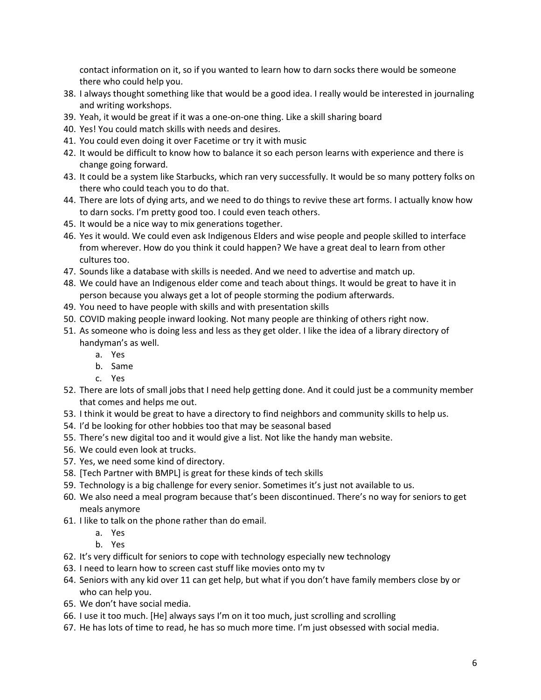contact information on it, so if you wanted to learn how to darn socks there would be someone there who could help you.

- 38. I always thought something like that would be a good idea. I really would be interested in journaling and writing workshops.
- 39. Yeah, it would be great if it was a one-on-one thing. Like a skill sharing board
- 40. Yes! You could match skills with needs and desires.
- 41. You could even doing it over Facetime or try it with music
- 42. It would be difficult to know how to balance it so each person learns with experience and there is change going forward.
- 43. It could be a system like Starbucks, which ran very successfully. It would be so many pottery folks on there who could teach you to do that.
- 44. There are lots of dying arts, and we need to do things to revive these art forms. I actually know how to darn socks. I'm pretty good too. I could even teach others.
- 45. It would be a nice way to mix generations together.
- 46. Yes it would. We could even ask Indigenous Elders and wise people and people skilled to interface from wherever. How do you think it could happen? We have a great deal to learn from other cultures too.
- 47. Sounds like a database with skills is needed. And we need to advertise and match up.
- 48. We could have an Indigenous elder come and teach about things. It would be great to have it in person because you always get a lot of people storming the podium afterwards.
- 49. You need to have people with skills and with presentation skills
- 50. COVID making people inward looking. Not many people are thinking of others right now.
- 51. As someone who is doing less and less as they get older. I like the idea of a library directory of handyman's as well.
	- a. Yes
	- b. Same
	- c. Yes
- 52. There are lots of small jobs that I need help getting done. And it could just be a community member that comes and helps me out.
- 53. I think it would be great to have a directory to find neighbors and community skills to help us.
- 54. I'd be looking for other hobbies too that may be seasonal based
- 55. There's new digital too and it would give a list. Not like the handy man website.
- 56. We could even look at trucks.
- 57. Yes, we need some kind of directory.
- 58. [Tech Partner with BMPL] is great for these kinds of tech skills
- 59. Technology is a big challenge for every senior. Sometimes it's just not available to us.
- 60. We also need a meal program because that's been discontinued. There's no way for seniors to get meals anymore
- 61. I like to talk on the phone rather than do email.
	- a. Yes
	- b. Yes
- 62. It's very difficult for seniors to cope with technology especially new technology
- 63. I need to learn how to screen cast stuff like movies onto my tv
- 64. Seniors with any kid over 11 can get help, but what if you don't have family members close by or who can help you.
- 65. We don't have social media.
- 66. I use it too much. [He] always says I'm on it too much, just scrolling and scrolling
- 67. He has lots of time to read, he has so much more time. I'm just obsessed with social media.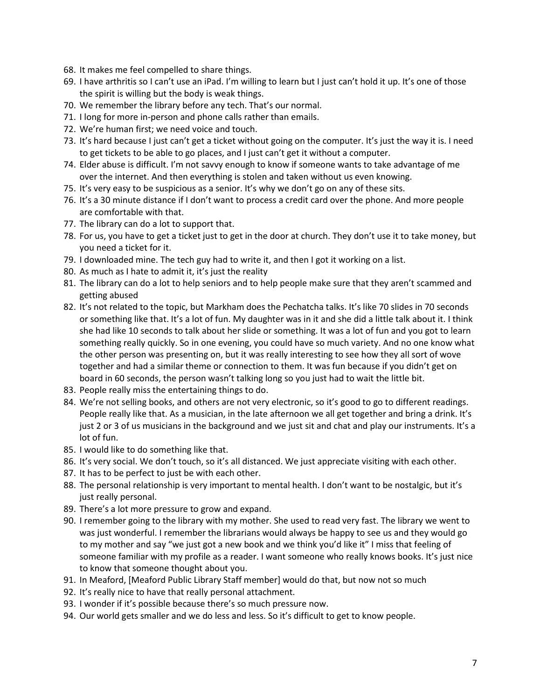- 68. It makes me feel compelled to share things.
- 69. I have arthritis so I can't use an iPad. I'm willing to learn but I just can't hold it up. It's one of those the spirit is willing but the body is weak things.
- 70. We remember the library before any tech. That's our normal.
- 71. I long for more in-person and phone calls rather than emails.
- 72. We're human first; we need voice and touch.
- 73. It's hard because I just can't get a ticket without going on the computer. It's just the way it is. I need to get tickets to be able to go places, and I just can't get it without a computer.
- 74. Elder abuse is difficult. I'm not savvy enough to know if someone wants to take advantage of me over the internet. And then everything is stolen and taken without us even knowing.
- 75. It's very easy to be suspicious as a senior. It's why we don't go on any of these sits.
- 76. It's a 30 minute distance if I don't want to process a credit card over the phone. And more people are comfortable with that.
- 77. The library can do a lot to support that.
- 78. For us, you have to get a ticket just to get in the door at church. They don't use it to take money, but you need a ticket for it.
- 79. I downloaded mine. The tech guy had to write it, and then I got it working on a list.
- 80. As much as I hate to admit it, it's just the reality
- 81. The library can do a lot to help seniors and to help people make sure that they aren't scammed and getting abused
- 82. It's not related to the topic, but Markham does the Pechatcha talks. It's like 70 slides in 70 seconds or something like that. It's a lot of fun. My daughter was in it and she did a little talk about it. I think she had like 10 seconds to talk about her slide or something. It was a lot of fun and you got to learn something really quickly. So in one evening, you could have so much variety. And no one know what the other person was presenting on, but it was really interesting to see how they all sort of wove together and had a similar theme or connection to them. It was fun because if you didn't get on board in 60 seconds, the person wasn't talking long so you just had to wait the little bit.
- 83. People really miss the entertaining things to do.
- 84. We're not selling books, and others are not very electronic, so it's good to go to different readings. People really like that. As a musician, in the late afternoon we all get together and bring a drink. It's just 2 or 3 of us musicians in the background and we just sit and chat and play our instruments. It's a lot of fun.
- 85. I would like to do something like that.
- 86. It's very social. We don't touch, so it's all distanced. We just appreciate visiting with each other.
- 87. It has to be perfect to just be with each other.
- 88. The personal relationship is very important to mental health. I don't want to be nostalgic, but it's just really personal.
- 89. There's a lot more pressure to grow and expand.
- 90. I remember going to the library with my mother. She used to read very fast. The library we went to was just wonderful. I remember the librarians would always be happy to see us and they would go to my mother and say "we just got a new book and we think you'd like it" I miss that feeling of someone familiar with my profile as a reader. I want someone who really knows books. It's just nice to know that someone thought about you.
- 91. In Meaford, [Meaford Public Library Staff member] would do that, but now not so much
- 92. It's really nice to have that really personal attachment.
- 93. I wonder if it's possible because there's so much pressure now.
- 94. Our world gets smaller and we do less and less. So it's difficult to get to know people.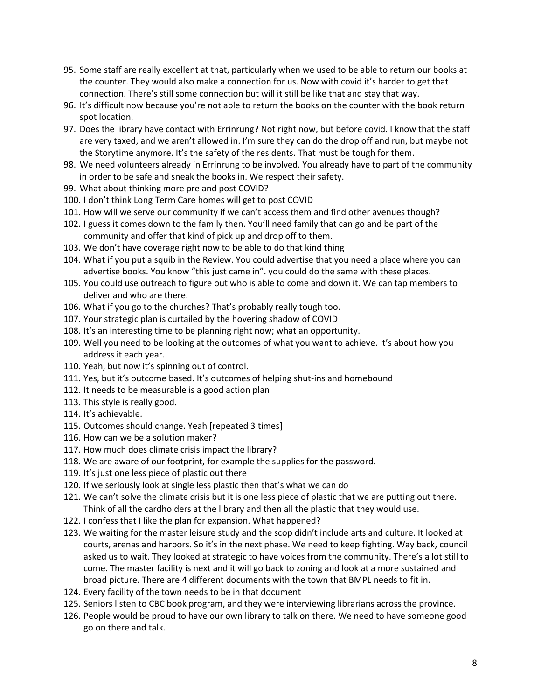- 95. Some staff are really excellent at that, particularly when we used to be able to return our books at the counter. They would also make a connection for us. Now with covid it's harder to get that connection. There's still some connection but will it still be like that and stay that way.
- 96. It's difficult now because you're not able to return the books on the counter with the book return spot location.
- 97. Does the library have contact with Errinrung? Not right now, but before covid. I know that the staff are very taxed, and we aren't allowed in. I'm sure they can do the drop off and run, but maybe not the Storytime anymore. It's the safety of the residents. That must be tough for them.
- 98. We need volunteers already in Errinrung to be involved. You already have to part of the community in order to be safe and sneak the books in. We respect their safety.
- 99. What about thinking more pre and post COVID?
- 100. I don't think Long Term Care homes will get to post COVID
- 101. How will we serve our community if we can't access them and find other avenues though?
- 102. I guess it comes down to the family then. You'll need family that can go and be part of the community and offer that kind of pick up and drop off to them.
- 103. We don't have coverage right now to be able to do that kind thing
- 104. What if you put a squib in the Review. You could advertise that you need a place where you can advertise books. You know "this just came in". you could do the same with these places.
- 105. You could use outreach to figure out who is able to come and down it. We can tap members to deliver and who are there.
- 106. What if you go to the churches? That's probably really tough too.
- 107. Your strategic plan is curtailed by the hovering shadow of COVID
- 108. It's an interesting time to be planning right now; what an opportunity.
- 109. Well you need to be looking at the outcomes of what you want to achieve. It's about how you address it each year.
- 110. Yeah, but now it's spinning out of control.
- 111. Yes, but it's outcome based. It's outcomes of helping shut-ins and homebound
- 112. It needs to be measurable is a good action plan
- 113. This style is really good.
- 114. It's achievable.
- 115. Outcomes should change. Yeah [repeated 3 times]
- 116. How can we be a solution maker?
- 117. How much does climate crisis impact the library?
- 118. We are aware of our footprint, for example the supplies for the password.
- 119. It's just one less piece of plastic out there
- 120. If we seriously look at single less plastic then that's what we can do
- 121. We can't solve the climate crisis but it is one less piece of plastic that we are putting out there. Think of all the cardholders at the library and then all the plastic that they would use.
- 122. I confess that I like the plan for expansion. What happened?
- 123. We waiting for the master leisure study and the scop didn't include arts and culture. It looked at courts, arenas and harbors. So it's in the next phase. We need to keep fighting. Way back, council asked us to wait. They looked at strategic to have voices from the community. There's a lot still to come. The master facility is next and it will go back to zoning and look at a more sustained and broad picture. There are 4 different documents with the town that BMPL needs to fit in.
- 124. Every facility of the town needs to be in that document
- 125. Seniors listen to CBC book program, and they were interviewing librarians across the province.
- 126. People would be proud to have our own library to talk on there. We need to have someone good go on there and talk.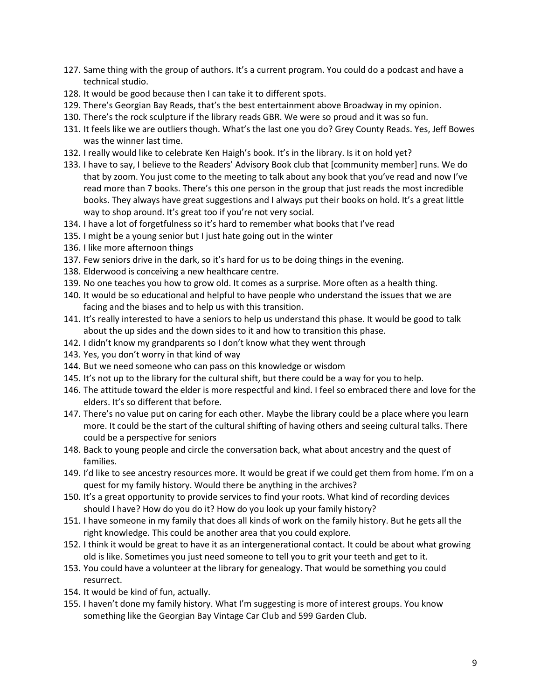- 127. Same thing with the group of authors. It's a current program. You could do a podcast and have a technical studio.
- 128. It would be good because then I can take it to different spots.
- 129. There's Georgian Bay Reads, that's the best entertainment above Broadway in my opinion.
- 130. There's the rock sculpture if the library reads GBR. We were so proud and it was so fun.
- 131. It feels like we are outliers though. What's the last one you do? Grey County Reads. Yes, Jeff Bowes was the winner last time.
- 132. I really would like to celebrate Ken Haigh's book. It's in the library. Is it on hold yet?
- 133. I have to say, I believe to the Readers' Advisory Book club that [community member] runs. We do that by zoom. You just come to the meeting to talk about any book that you've read and now I've read more than 7 books. There's this one person in the group that just reads the most incredible books. They always have great suggestions and I always put their books on hold. It's a great little way to shop around. It's great too if you're not very social.
- 134. I have a lot of forgetfulness so it's hard to remember what books that I've read
- 135. I might be a young senior but I just hate going out in the winter
- 136. I like more afternoon things
- 137. Few seniors drive in the dark, so it's hard for us to be doing things in the evening.
- 138. Elderwood is conceiving a new healthcare centre.
- 139. No one teaches you how to grow old. It comes as a surprise. More often as a health thing.
- 140. It would be so educational and helpful to have people who understand the issues that we are facing and the biases and to help us with this transition.
- 141. It's really interested to have a seniors to help us understand this phase. It would be good to talk about the up sides and the down sides to it and how to transition this phase.
- 142. I didn't know my grandparents so I don't know what they went through
- 143. Yes, you don't worry in that kind of way
- 144. But we need someone who can pass on this knowledge or wisdom
- 145. It's not up to the library for the cultural shift, but there could be a way for you to help.
- 146. The attitude toward the elder is more respectful and kind. I feel so embraced there and love for the elders. It's so different that before.
- 147. There's no value put on caring for each other. Maybe the library could be a place where you learn more. It could be the start of the cultural shifting of having others and seeing cultural talks. There could be a perspective for seniors
- 148. Back to young people and circle the conversation back, what about ancestry and the quest of families.
- 149. I'd like to see ancestry resources more. It would be great if we could get them from home. I'm on a quest for my family history. Would there be anything in the archives?
- 150. It's a great opportunity to provide services to find your roots. What kind of recording devices should I have? How do you do it? How do you look up your family history?
- 151. I have someone in my family that does all kinds of work on the family history. But he gets all the right knowledge. This could be another area that you could explore.
- 152. I think it would be great to have it as an intergenerational contact. It could be about what growing old is like. Sometimes you just need someone to tell you to grit your teeth and get to it.
- 153. You could have a volunteer at the library for genealogy. That would be something you could resurrect.
- 154. It would be kind of fun, actually.
- 155. I haven't done my family history. What I'm suggesting is more of interest groups. You know something like the Georgian Bay Vintage Car Club and 599 Garden Club.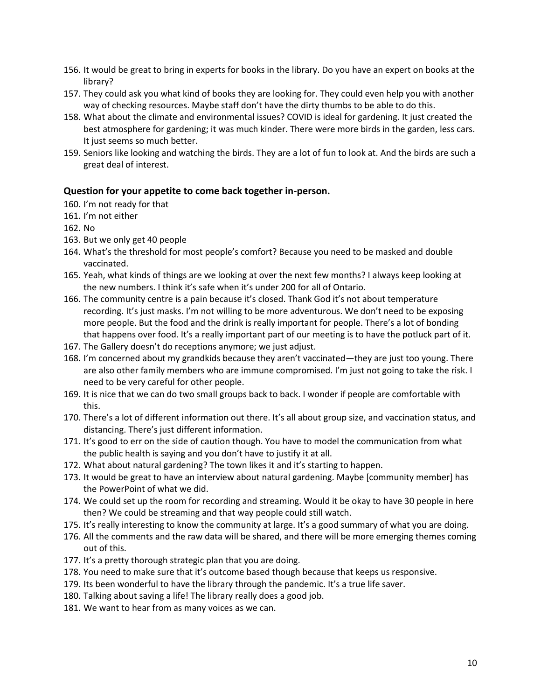- 156. It would be great to bring in experts for books in the library. Do you have an expert on books at the library?
- 157. They could ask you what kind of books they are looking for. They could even help you with another way of checking resources. Maybe staff don't have the dirty thumbs to be able to do this.
- 158. What about the climate and environmental issues? COVID is ideal for gardening. It just created the best atmosphere for gardening; it was much kinder. There were more birds in the garden, less cars. It just seems so much better.
- 159. Seniors like looking and watching the birds. They are a lot of fun to look at. And the birds are such a great deal of interest.

#### **Question for your appetite to come back together in-person.**

- 160. I'm not ready for that
- 161. I'm not either
- 162. No
- 163. But we only get 40 people
- 164. What's the threshold for most people's comfort? Because you need to be masked and double vaccinated.
- 165. Yeah, what kinds of things are we looking at over the next few months? I always keep looking at the new numbers. I think it's safe when it's under 200 for all of Ontario.
- 166. The community centre is a pain because it's closed. Thank God it's not about temperature recording. It's just masks. I'm not willing to be more adventurous. We don't need to be exposing more people. But the food and the drink is really important for people. There's a lot of bonding that happens over food. It's a really important part of our meeting is to have the potluck part of it.
- 167. The Gallery doesn't do receptions anymore; we just adjust.
- 168. I'm concerned about my grandkids because they aren't vaccinated—they are just too young. There are also other family members who are immune compromised. I'm just not going to take the risk. I need to be very careful for other people.
- 169. It is nice that we can do two small groups back to back. I wonder if people are comfortable with this.
- 170. There's a lot of different information out there. It's all about group size, and vaccination status, and distancing. There's just different information.
- 171. It's good to err on the side of caution though. You have to model the communication from what the public health is saying and you don't have to justify it at all.
- 172. What about natural gardening? The town likes it and it's starting to happen.
- 173. It would be great to have an interview about natural gardening. Maybe [community member] has the PowerPoint of what we did.
- 174. We could set up the room for recording and streaming. Would it be okay to have 30 people in here then? We could be streaming and that way people could still watch.
- 175. It's really interesting to know the community at large. It's a good summary of what you are doing.
- 176. All the comments and the raw data will be shared, and there will be more emerging themes coming out of this.
- 177. It's a pretty thorough strategic plan that you are doing.
- 178. You need to make sure that it's outcome based though because that keeps us responsive.
- 179. Its been wonderful to have the library through the pandemic. It's a true life saver.
- 180. Talking about saving a life! The library really does a good job.
- 181. We want to hear from as many voices as we can.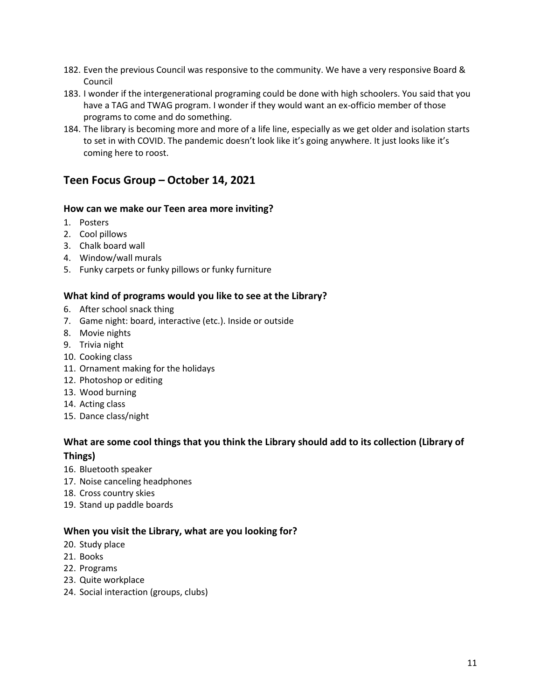- 182. Even the previous Council was responsive to the community. We have a very responsive Board & Council
- 183. I wonder if the intergenerational programing could be done with high schoolers. You said that you have a TAG and TWAG program. I wonder if they would want an ex-officio member of those programs to come and do something.
- 184. The library is becoming more and more of a life line, especially as we get older and isolation starts to set in with COVID. The pandemic doesn't look like it's going anywhere. It just looks like it's coming here to roost.

# **Teen Focus Group – October 14, 2021**

#### **How can we make our Teen area more inviting?**

- 1. Posters
- 2. Cool pillows
- 3. Chalk board wall
- 4. Window/wall murals
- 5. Funky carpets or funky pillows or funky furniture

#### **What kind of programs would you like to see at the Library?**

- 6. After school snack thing
- 7. Game night: board, interactive (etc.). Inside or outside
- 8. Movie nights
- 9. Trivia night
- 10. Cooking class
- 11. Ornament making for the holidays
- 12. Photoshop or editing
- 13. Wood burning
- 14. Acting class
- 15. Dance class/night

# **What are some cool things that you think the Library should add to its collection (Library of Things)**

- 16. Bluetooth speaker
- 17. Noise canceling headphones
- 18. Cross country skies
- 19. Stand up paddle boards

#### **When you visit the Library, what are you looking for?**

- 20. Study place
- 21. Books
- 22. Programs
- 23. Quite workplace
- 24. Social interaction (groups, clubs)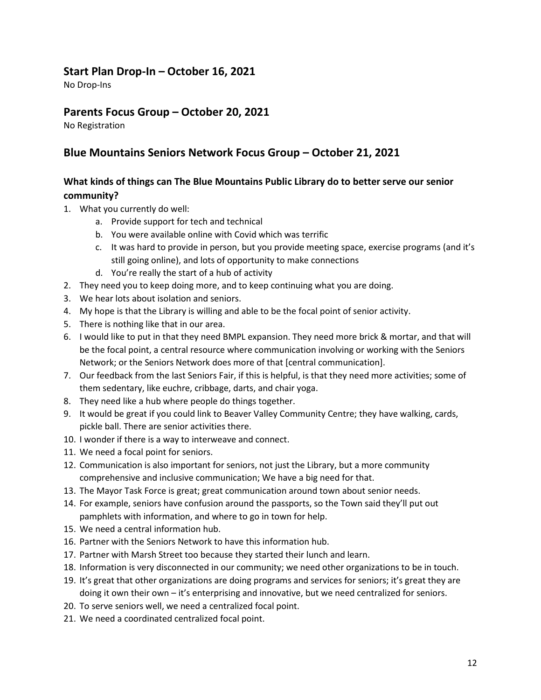# **Start Plan Drop-In – October 16, 2021**

No Drop-Ins

# **Parents Focus Group – October 20, 2021**

No Registration

# **Blue Mountains Seniors Network Focus Group – October 21, 2021**

# **What kinds of things can The Blue Mountains Public Library do to better serve our senior community?**

- 1. What you currently do well:
	- a. Provide support for tech and technical
	- b. You were available online with Covid which was terrific
	- c. It was hard to provide in person, but you provide meeting space, exercise programs (and it's still going online), and lots of opportunity to make connections
	- d. You're really the start of a hub of activity
- 2. They need you to keep doing more, and to keep continuing what you are doing.
- 3. We hear lots about isolation and seniors.
- 4. My hope is that the Library is willing and able to be the focal point of senior activity.
- 5. There is nothing like that in our area.
- 6. I would like to put in that they need BMPL expansion. They need more brick & mortar, and that will be the focal point, a central resource where communication involving or working with the Seniors Network; or the Seniors Network does more of that [central communication].
- 7. Our feedback from the last Seniors Fair, if this is helpful, is that they need more activities; some of them sedentary, like euchre, cribbage, darts, and chair yoga.
- 8. They need like a hub where people do things together.
- 9. It would be great if you could link to Beaver Valley Community Centre; they have walking, cards, pickle ball. There are senior activities there.
- 10. I wonder if there is a way to interweave and connect.
- 11. We need a focal point for seniors.
- 12. Communication is also important for seniors, not just the Library, but a more community comprehensive and inclusive communication; We have a big need for that.
- 13. The Mayor Task Force is great; great communication around town about senior needs.
- 14. For example, seniors have confusion around the passports, so the Town said they'll put out pamphlets with information, and where to go in town for help.
- 15. We need a central information hub.
- 16. Partner with the Seniors Network to have this information hub.
- 17. Partner with Marsh Street too because they started their lunch and learn.
- 18. Information is very disconnected in our community; we need other organizations to be in touch.
- 19. It's great that other organizations are doing programs and services for seniors; it's great they are doing it own their own – it's enterprising and innovative, but we need centralized for seniors.
- 20. To serve seniors well, we need a centralized focal point.
- 21. We need a coordinated centralized focal point.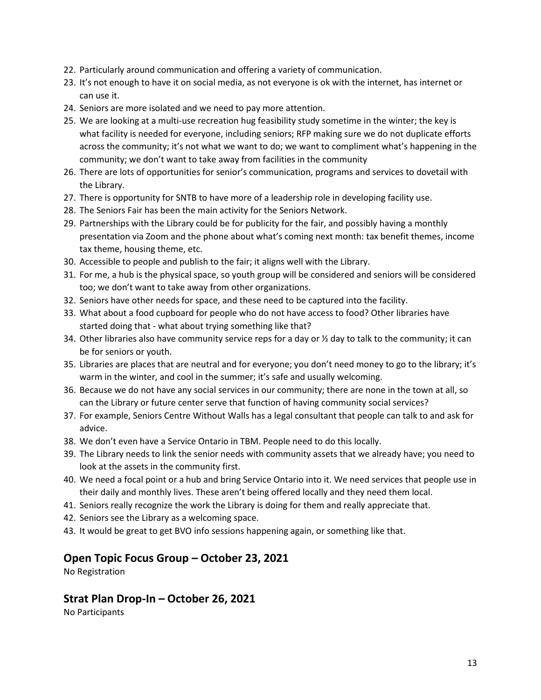- 22. Particularly around communication and offering a variety of communication.
- 23. It's not enough to have it on social media, as not everyone is ok with the internet, has internet or can use it.
- 24. Seniors are more isolated and we need to pay more attention.
- 25. We are looking at a multi-use recreation hug feasibility study sometime in the winter; the key is what facility is needed for everyone, including seniors; RFP making sure we do not duplicate efforts across the community; it's not what we want to do; we want to compliment what's happening in the community; we don't want to take away from facilities in the community
- 26. There are lots of opportunities for senior's communication, programs and services to dovetail with the Library.
- 27. There is opportunity for SNTB to have more of a leadership role in developing facility use.
- 28. The Seniors Fair has been the main activity for the Seniors Network.
- 29. Partnerships with the Library could be for publicity for the fair, and possibly having a monthly presentation via Zoom and the phone about what's coming next month: tax benefit themes, income tax theme, housing theme, etc.
- 30. Accessible to people and publish to the fair; it aligns well with the Library.
- 31. For me, a hub is the physical space, so youth group will be considered and seniors will be considered too; we don't want to take away from other organizations.
- 32. Seniors have other needs for space, and these need to be captured into the facility.
- 33. What about a food cupboard for people who do not have access to food? Other libraries have started doing that - what about trying something like that?
- 34. Other libraries also have community service reps for a day or  $\frac{1}{2}$  day to talk to the community; it can be for seniors or youth.
- 35. Libraries are places that are neutral and for everyone; you don't need money to go to the library; it's warm in the winter, and cool in the summer; it's safe and usually welcoming.
- 36. Because we do not have any social services in our community; there are none in the town at all, so can the Library or future center serve that function of having community social services?
- 37. For example, Seniors Centre Without Walls has a legal consultant that people can talk to and ask for advice.
- 38. We don't even have a Service Ontario in TBM. People need to do this locally.
- 39. The Library needs to link the senior needs with community assets that we already have; you need to look at the assets in the community first.
- 40. We need a focal point or a hub and bring Service Ontario into it. We need services that people use in their daily and monthly lives. These aren't being offered locally and they need them local.
- 41. Seniors really recognize the work the Library is doing for them and really appreciate that.
- 42. Seniors see the Library as a welcoming space.
- 43. It would be great to get BVO info sessions happening again, or something like that.

## **Open Topic Focus Group – October 23, 2021**

No Registration

## **Strat Plan Drop-In – October 26, 2021**

No Participants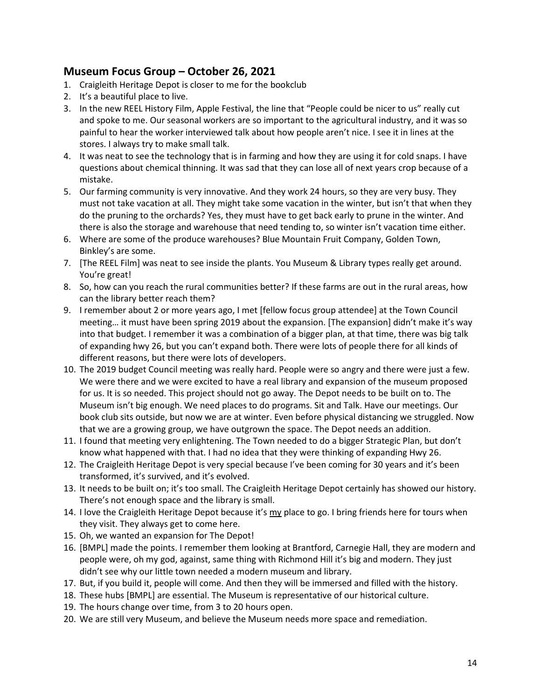# **Museum Focus Group – October 26, 2021**

- 1. Craigleith Heritage Depot is closer to me for the bookclub
- 2. It's a beautiful place to live.
- 3. In the new REEL History Film, Apple Festival, the line that "People could be nicer to us" really cut and spoke to me. Our seasonal workers are so important to the agricultural industry, and it was so painful to hear the worker interviewed talk about how people aren't nice. I see it in lines at the stores. I always try to make small talk.
- 4. It was neat to see the technology that is in farming and how they are using it for cold snaps. I have questions about chemical thinning. It was sad that they can lose all of next years crop because of a mistake.
- 5. Our farming community is very innovative. And they work 24 hours, so they are very busy. They must not take vacation at all. They might take some vacation in the winter, but isn't that when they do the pruning to the orchards? Yes, they must have to get back early to prune in the winter. And there is also the storage and warehouse that need tending to, so winter isn't vacation time either.
- 6. Where are some of the produce warehouses? Blue Mountain Fruit Company, Golden Town, Binkley's are some.
- 7. [The REEL Film] was neat to see inside the plants. You Museum & Library types really get around. You're great!
- 8. So, how can you reach the rural communities better? If these farms are out in the rural areas, how can the library better reach them?
- 9. I remember about 2 or more years ago, I met [fellow focus group attendee] at the Town Council meeting… it must have been spring 2019 about the expansion. [The expansion] didn't make it's way into that budget. I remember it was a combination of a bigger plan, at that time, there was big talk of expanding hwy 26, but you can't expand both. There were lots of people there for all kinds of different reasons, but there were lots of developers.
- 10. The 2019 budget Council meeting was really hard. People were so angry and there were just a few. We were there and we were excited to have a real library and expansion of the museum proposed for us. It is so needed. This project should not go away. The Depot needs to be built on to. The Museum isn't big enough. We need places to do programs. Sit and Talk. Have our meetings. Our book club sits outside, but now we are at winter. Even before physical distancing we struggled. Now that we are a growing group, we have outgrown the space. The Depot needs an addition.
- 11. I found that meeting very enlightening. The Town needed to do a bigger Strategic Plan, but don't know what happened with that. I had no idea that they were thinking of expanding Hwy 26.
- 12. The Craigleith Heritage Depot is very special because I've been coming for 30 years and it's been transformed, it's survived, and it's evolved.
- 13. It needs to be built on; it's too small. The Craigleith Heritage Depot certainly has showed our history. There's not enough space and the library is small.
- 14. I love the Craigleith Heritage Depot because it's my place to go. I bring friends here for tours when they visit. They always get to come here.
- 15. Oh, we wanted an expansion for The Depot!
- 16. [BMPL] made the points. I remember them looking at Brantford, Carnegie Hall, they are modern and people were, oh my god, against, same thing with Richmond Hill it's big and modern. They just didn't see why our little town needed a modern museum and library.
- 17. But, if you build it, people will come. And then they will be immersed and filled with the history.
- 18. These hubs [BMPL] are essential. The Museum is representative of our historical culture.
- 19. The hours change over time, from 3 to 20 hours open.
- 20. We are still very Museum, and believe the Museum needs more space and remediation.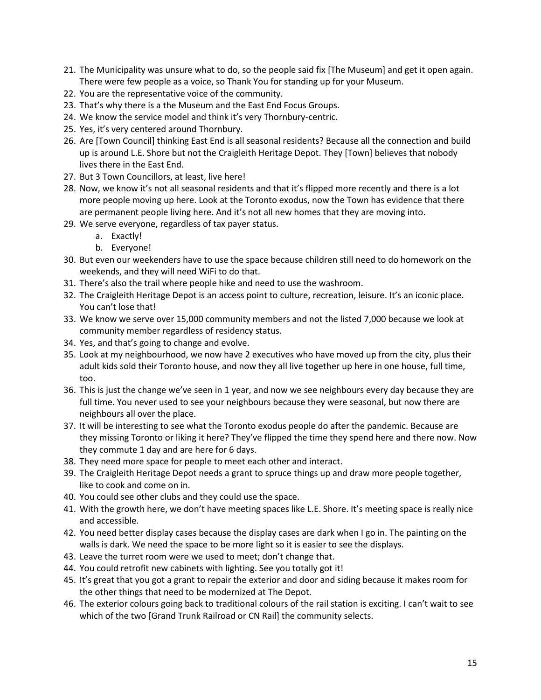- 21. The Municipality was unsure what to do, so the people said fix [The Museum] and get it open again. There were few people as a voice, so Thank You for standing up for your Museum.
- 22. You are the representative voice of the community.
- 23. That's why there is a the Museum and the East End Focus Groups.
- 24. We know the service model and think it's very Thornbury-centric.
- 25. Yes, it's very centered around Thornbury.
- 26. Are [Town Council] thinking East End is all seasonal residents? Because all the connection and build up is around L.E. Shore but not the Craigleith Heritage Depot. They [Town] believes that nobody lives there in the East End.
- 27. But 3 Town Councillors, at least, live here!
- 28. Now, we know it's not all seasonal residents and that it's flipped more recently and there is a lot more people moving up here. Look at the Toronto exodus, now the Town has evidence that there are permanent people living here. And it's not all new homes that they are moving into.
- 29. We serve everyone, regardless of tax payer status.
	- a. Exactly!
	- b. Everyone!
- 30. But even our weekenders have to use the space because children still need to do homework on the weekends, and they will need WiFi to do that.
- 31. There's also the trail where people hike and need to use the washroom.
- 32. The Craigleith Heritage Depot is an access point to culture, recreation, leisure. It's an iconic place. You can't lose that!
- 33. We know we serve over 15,000 community members and not the listed 7,000 because we look at community member regardless of residency status.
- 34. Yes, and that's going to change and evolve.
- 35. Look at my neighbourhood, we now have 2 executives who have moved up from the city, plus their adult kids sold their Toronto house, and now they all live together up here in one house, full time, too.
- 36. This is just the change we've seen in 1 year, and now we see neighbours every day because they are full time. You never used to see your neighbours because they were seasonal, but now there are neighbours all over the place.
- 37. It will be interesting to see what the Toronto exodus people do after the pandemic. Because are they missing Toronto or liking it here? They've flipped the time they spend here and there now. Now they commute 1 day and are here for 6 days.
- 38. They need more space for people to meet each other and interact.
- 39. The Craigleith Heritage Depot needs a grant to spruce things up and draw more people together, like to cook and come on in.
- 40. You could see other clubs and they could use the space.
- 41. With the growth here, we don't have meeting spaces like L.E. Shore. It's meeting space is really nice and accessible.
- 42. You need better display cases because the display cases are dark when I go in. The painting on the walls is dark. We need the space to be more light so it is easier to see the displays.
- 43. Leave the turret room were we used to meet; don't change that.
- 44. You could retrofit new cabinets with lighting. See you totally got it!
- 45. It's great that you got a grant to repair the exterior and door and siding because it makes room for the other things that need to be modernized at The Depot.
- 46. The exterior colours going back to traditional colours of the rail station is exciting. I can't wait to see which of the two [Grand Trunk Railroad or CN Rail] the community selects.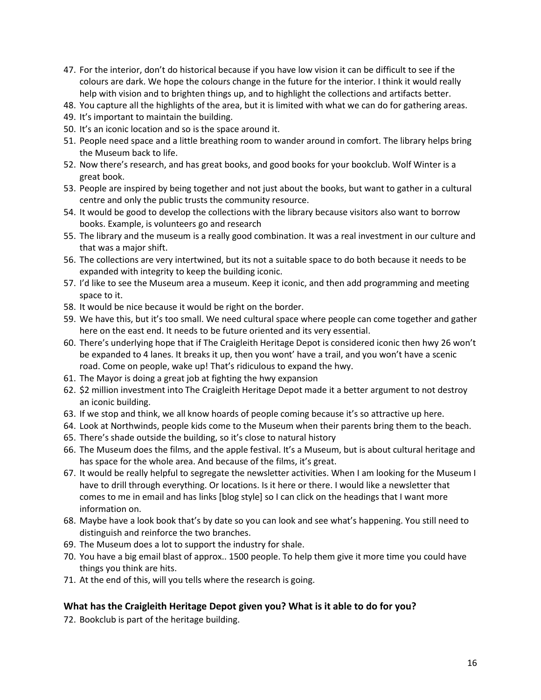- 47. For the interior, don't do historical because if you have low vision it can be difficult to see if the colours are dark. We hope the colours change in the future for the interior. I think it would really help with vision and to brighten things up, and to highlight the collections and artifacts better.
- 48. You capture all the highlights of the area, but it is limited with what we can do for gathering areas.
- 49. It's important to maintain the building.
- 50. It's an iconic location and so is the space around it.
- 51. People need space and a little breathing room to wander around in comfort. The library helps bring the Museum back to life.
- 52. Now there's research, and has great books, and good books for your bookclub. Wolf Winter is a great book.
- 53. People are inspired by being together and not just about the books, but want to gather in a cultural centre and only the public trusts the community resource.
- 54. It would be good to develop the collections with the library because visitors also want to borrow books. Example, is volunteers go and research
- 55. The library and the museum is a really good combination. It was a real investment in our culture and that was a major shift.
- 56. The collections are very intertwined, but its not a suitable space to do both because it needs to be expanded with integrity to keep the building iconic.
- 57. I'd like to see the Museum area a museum. Keep it iconic, and then add programming and meeting space to it.
- 58. It would be nice because it would be right on the border.
- 59. We have this, but it's too small. We need cultural space where people can come together and gather here on the east end. It needs to be future oriented and its very essential.
- 60. There's underlying hope that if The Craigleith Heritage Depot is considered iconic then hwy 26 won't be expanded to 4 lanes. It breaks it up, then you wont' have a trail, and you won't have a scenic road. Come on people, wake up! That's ridiculous to expand the hwy.
- 61. The Mayor is doing a great job at fighting the hwy expansion
- 62. \$2 million investment into The Craigleith Heritage Depot made it a better argument to not destroy an iconic building.
- 63. If we stop and think, we all know hoards of people coming because it's so attractive up here.
- 64. Look at Northwinds, people kids come to the Museum when their parents bring them to the beach.
- 65. There's shade outside the building, so it's close to natural history
- 66. The Museum does the films, and the apple festival. It's a Museum, but is about cultural heritage and has space for the whole area. And because of the films, it's great.
- 67. It would be really helpful to segregate the newsletter activities. When I am looking for the Museum I have to drill through everything. Or locations. Is it here or there. I would like a newsletter that comes to me in email and has links [blog style] so I can click on the headings that I want more information on.
- 68. Maybe have a look book that's by date so you can look and see what's happening. You still need to distinguish and reinforce the two branches.
- 69. The Museum does a lot to support the industry for shale.
- 70. You have a big email blast of approx.. 1500 people. To help them give it more time you could have things you think are hits.
- 71. At the end of this, will you tells where the research is going.

#### **What has the Craigleith Heritage Depot given you? What is it able to do for you?**

72. Bookclub is part of the heritage building.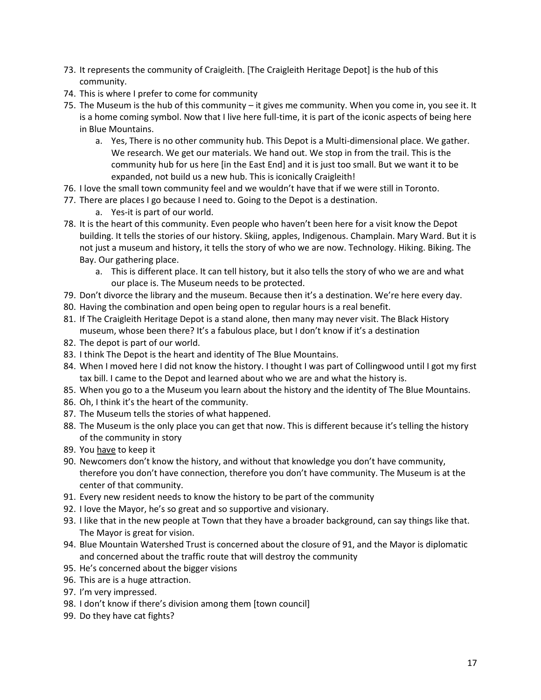- 73. It represents the community of Craigleith. [The Craigleith Heritage Depot] is the hub of this community.
- 74. This is where I prefer to come for community
- 75. The Museum is the hub of this community it gives me community. When you come in, you see it. It is a home coming symbol. Now that I live here full-time, it is part of the iconic aspects of being here in Blue Mountains.
	- a. Yes, There is no other community hub. This Depot is a Multi-dimensional place. We gather. We research. We get our materials. We hand out. We stop in from the trail. This is the community hub for us here [in the East End] and it is just too small. But we want it to be expanded, not build us a new hub. This is iconically Craigleith!
- 76. I love the small town community feel and we wouldn't have that if we were still in Toronto.
- 77. There are places I go because I need to. Going to the Depot is a destination.
	- a. Yes-it is part of our world.
- 78. It is the heart of this community. Even people who haven't been here for a visit know the Depot building. It tells the stories of our history. Skiing, apples, Indigenous. Champlain. Mary Ward. But it is not just a museum and history, it tells the story of who we are now. Technology. Hiking. Biking. The Bay. Our gathering place.
	- a. This is different place. It can tell history, but it also tells the story of who we are and what our place is. The Museum needs to be protected.
- 79. Don't divorce the library and the museum. Because then it's a destination. We're here every day.
- 80. Having the combination and open being open to regular hours is a real benefit.
- 81. If The Craigleith Heritage Depot is a stand alone, then many may never visit. The Black History museum, whose been there? It's a fabulous place, but I don't know if it's a destination
- 82. The depot is part of our world.
- 83. I think The Depot is the heart and identity of The Blue Mountains.
- 84. When I moved here I did not know the history. I thought I was part of Collingwood until I got my first tax bill. I came to the Depot and learned about who we are and what the history is.
- 85. When you go to a the Museum you learn about the history and the identity of The Blue Mountains.
- 86. Oh, I think it's the heart of the community.
- 87. The Museum tells the stories of what happened.
- 88. The Museum is the only place you can get that now. This is different because it's telling the history of the community in story
- 89. You have to keep it
- 90. Newcomers don't know the history, and without that knowledge you don't have community, therefore you don't have connection, therefore you don't have community. The Museum is at the center of that community.
- 91. Every new resident needs to know the history to be part of the community
- 92. I love the Mayor, he's so great and so supportive and visionary.
- 93. I like that in the new people at Town that they have a broader background, can say things like that. The Mayor is great for vision.
- 94. Blue Mountain Watershed Trust is concerned about the closure of 91, and the Mayor is diplomatic and concerned about the traffic route that will destroy the community
- 95. He's concerned about the bigger visions
- 96. This are is a huge attraction.
- 97. I'm very impressed.
- 98. I don't know if there's division among them [town council]
- 99. Do they have cat fights?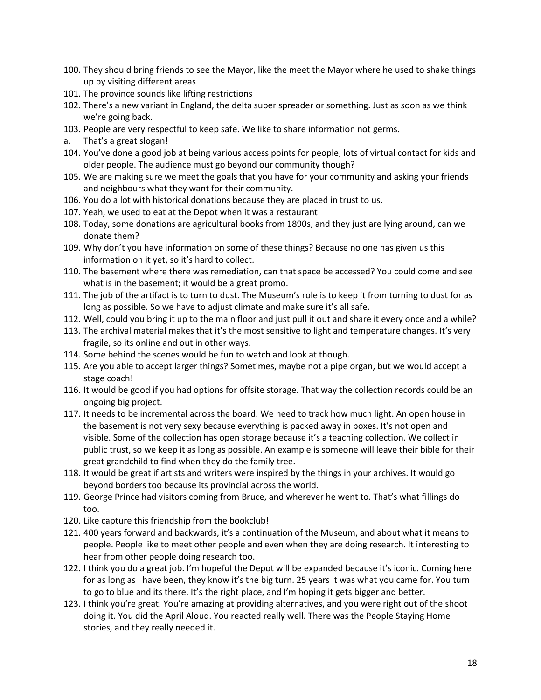- 100. They should bring friends to see the Mayor, like the meet the Mayor where he used to shake things up by visiting different areas
- 101. The province sounds like lifting restrictions
- 102. There's a new variant in England, the delta super spreader or something. Just as soon as we think we're going back.
- 103. People are very respectful to keep safe. We like to share information not germs.
- a. That's a great slogan!
- 104. You've done a good job at being various access points for people, lots of virtual contact for kids and older people. The audience must go beyond our community though?
- 105. We are making sure we meet the goals that you have for your community and asking your friends and neighbours what they want for their community.
- 106. You do a lot with historical donations because they are placed in trust to us.
- 107. Yeah, we used to eat at the Depot when it was a restaurant
- 108. Today, some donations are agricultural books from 1890s, and they just are lying around, can we donate them?
- 109. Why don't you have information on some of these things? Because no one has given us this information on it yet, so it's hard to collect.
- 110. The basement where there was remediation, can that space be accessed? You could come and see what is in the basement; it would be a great promo.
- 111. The job of the artifact is to turn to dust. The Museum's role is to keep it from turning to dust for as long as possible. So we have to adjust climate and make sure it's all safe.
- 112. Well, could you bring it up to the main floor and just pull it out and share it every once and a while?
- 113. The archival material makes that it's the most sensitive to light and temperature changes. It's very fragile, so its online and out in other ways.
- 114. Some behind the scenes would be fun to watch and look at though.
- 115. Are you able to accept larger things? Sometimes, maybe not a pipe organ, but we would accept a stage coach!
- 116. It would be good if you had options for offsite storage. That way the collection records could be an ongoing big project.
- 117. It needs to be incremental across the board. We need to track how much light. An open house in the basement is not very sexy because everything is packed away in boxes. It's not open and visible. Some of the collection has open storage because it's a teaching collection. We collect in public trust, so we keep it as long as possible. An example is someone will leave their bible for their great grandchild to find when they do the family tree.
- 118. It would be great if artists and writers were inspired by the things in your archives. It would go beyond borders too because its provincial across the world.
- 119. George Prince had visitors coming from Bruce, and wherever he went to. That's what fillings do too.
- 120. Like capture this friendship from the bookclub!
- 121. 400 years forward and backwards, it's a continuation of the Museum, and about what it means to people. People like to meet other people and even when they are doing research. It interesting to hear from other people doing research too.
- 122. I think you do a great job. I'm hopeful the Depot will be expanded because it's iconic. Coming here for as long as I have been, they know it's the big turn. 25 years it was what you came for. You turn to go to blue and its there. It's the right place, and I'm hoping it gets bigger and better.
- 123. I think you're great. You're amazing at providing alternatives, and you were right out of the shoot doing it. You did the April Aloud. You reacted really well. There was the People Staying Home stories, and they really needed it.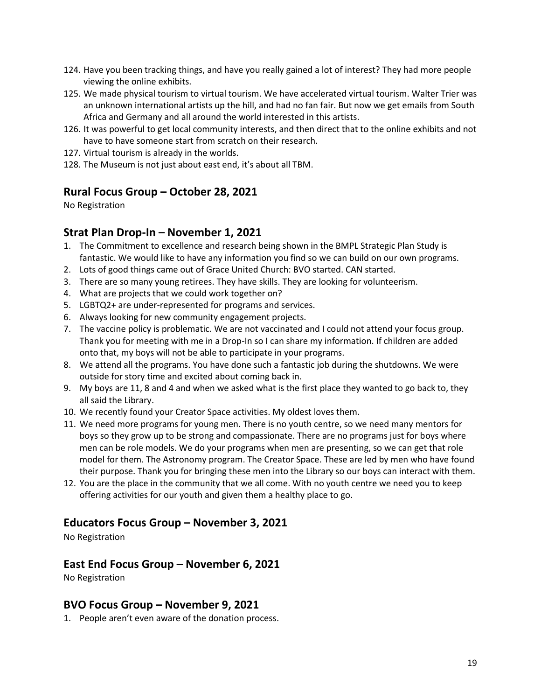- 124. Have you been tracking things, and have you really gained a lot of interest? They had more people viewing the online exhibits.
- 125. We made physical tourism to virtual tourism. We have accelerated virtual tourism. Walter Trier was an unknown international artists up the hill, and had no fan fair. But now we get emails from South Africa and Germany and all around the world interested in this artists.
- 126. It was powerful to get local community interests, and then direct that to the online exhibits and not have to have someone start from scratch on their research.
- 127. Virtual tourism is already in the worlds.
- 128. The Museum is not just about east end, it's about all TBM.

# **Rural Focus Group – October 28, 2021**

No Registration

# **Strat Plan Drop-In – November 1, 2021**

- 1. The Commitment to excellence and research being shown in the BMPL Strategic Plan Study is fantastic. We would like to have any information you find so we can build on our own programs.
- 2. Lots of good things came out of Grace United Church: BVO started. CAN started.
- 3. There are so many young retirees. They have skills. They are looking for volunteerism.
- 4. What are projects that we could work together on?
- 5. LGBTQ2+ are under-represented for programs and services.
- 6. Always looking for new community engagement projects.
- 7. The vaccine policy is problematic. We are not vaccinated and I could not attend your focus group. Thank you for meeting with me in a Drop-In so I can share my information. If children are added onto that, my boys will not be able to participate in your programs.
- 8. We attend all the programs. You have done such a fantastic job during the shutdowns. We were outside for story time and excited about coming back in.
- 9. My boys are 11, 8 and 4 and when we asked what is the first place they wanted to go back to, they all said the Library.
- 10. We recently found your Creator Space activities. My oldest loves them.
- 11. We need more programs for young men. There is no youth centre, so we need many mentors for boys so they grow up to be strong and compassionate. There are no programs just for boys where men can be role models. We do your programs when men are presenting, so we can get that role model for them. The Astronomy program. The Creator Space. These are led by men who have found their purpose. Thank you for bringing these men into the Library so our boys can interact with them.
- 12. You are the place in the community that we all come. With no youth centre we need you to keep offering activities for our youth and given them a healthy place to go.

## **Educators Focus Group – November 3, 2021**

No Registration

## **East End Focus Group – November 6, 2021**

No Registration

## **BVO Focus Group – November 9, 2021**

1. People aren't even aware of the donation process.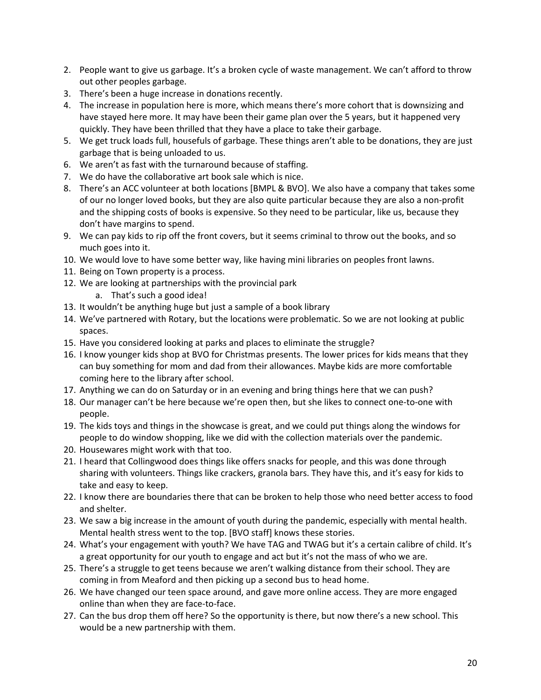- 2. People want to give us garbage. It's a broken cycle of waste management. We can't afford to throw out other peoples garbage.
- 3. There's been a huge increase in donations recently.
- 4. The increase in population here is more, which means there's more cohort that is downsizing and have stayed here more. It may have been their game plan over the 5 years, but it happened very quickly. They have been thrilled that they have a place to take their garbage.
- 5. We get truck loads full, housefuls of garbage. These things aren't able to be donations, they are just garbage that is being unloaded to us.
- 6. We aren't as fast with the turnaround because of staffing.
- 7. We do have the collaborative art book sale which is nice.
- 8. There's an ACC volunteer at both locations [BMPL & BVO]. We also have a company that takes some of our no longer loved books, but they are also quite particular because they are also a non-profit and the shipping costs of books is expensive. So they need to be particular, like us, because they don't have margins to spend.
- 9. We can pay kids to rip off the front covers, but it seems criminal to throw out the books, and so much goes into it.
- 10. We would love to have some better way, like having mini libraries on peoples front lawns.
- 11. Being on Town property is a process.
- 12. We are looking at partnerships with the provincial park
	- a. That's such a good idea!
- 13. It wouldn't be anything huge but just a sample of a book library
- 14. We've partnered with Rotary, but the locations were problematic. So we are not looking at public spaces.
- 15. Have you considered looking at parks and places to eliminate the struggle?
- 16. I know younger kids shop at BVO for Christmas presents. The lower prices for kids means that they can buy something for mom and dad from their allowances. Maybe kids are more comfortable coming here to the library after school.
- 17. Anything we can do on Saturday or in an evening and bring things here that we can push?
- 18. Our manager can't be here because we're open then, but she likes to connect one-to-one with people.
- 19. The kids toys and things in the showcase is great, and we could put things along the windows for people to do window shopping, like we did with the collection materials over the pandemic.
- 20. Housewares might work with that too.
- 21. I heard that Collingwood does things like offers snacks for people, and this was done through sharing with volunteers. Things like crackers, granola bars. They have this, and it's easy for kids to take and easy to keep.
- 22. I know there are boundaries there that can be broken to help those who need better access to food and shelter.
- 23. We saw a big increase in the amount of youth during the pandemic, especially with mental health. Mental health stress went to the top. [BVO staff] knows these stories.
- 24. What's your engagement with youth? We have TAG and TWAG but it's a certain calibre of child. It's a great opportunity for our youth to engage and act but it's not the mass of who we are.
- 25. There's a struggle to get teens because we aren't walking distance from their school. They are coming in from Meaford and then picking up a second bus to head home.
- 26. We have changed our teen space around, and gave more online access. They are more engaged online than when they are face-to-face.
- 27. Can the bus drop them off here? So the opportunity is there, but now there's a new school. This would be a new partnership with them.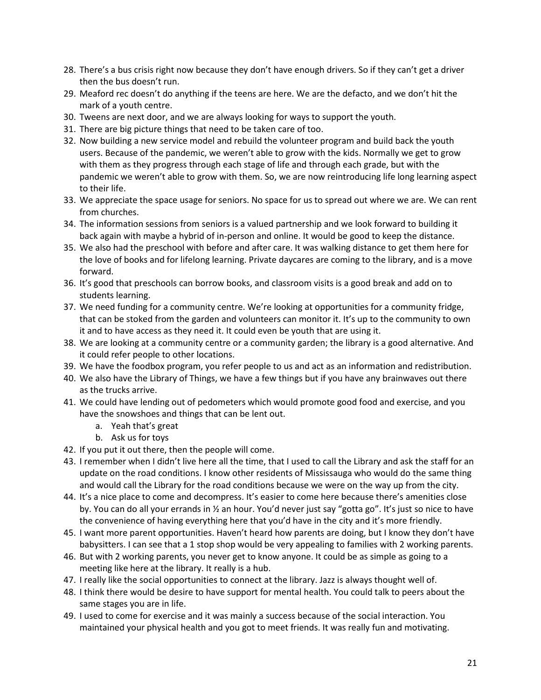- 28. There's a bus crisis right now because they don't have enough drivers. So if they can't get a driver then the bus doesn't run.
- 29. Meaford rec doesn't do anything if the teens are here. We are the defacto, and we don't hit the mark of a youth centre.
- 30. Tweens are next door, and we are always looking for ways to support the youth.
- 31. There are big picture things that need to be taken care of too.
- 32. Now building a new service model and rebuild the volunteer program and build back the youth users. Because of the pandemic, we weren't able to grow with the kids. Normally we get to grow with them as they progress through each stage of life and through each grade, but with the pandemic we weren't able to grow with them. So, we are now reintroducing life long learning aspect to their life.
- 33. We appreciate the space usage for seniors. No space for us to spread out where we are. We can rent from churches.
- 34. The information sessions from seniors is a valued partnership and we look forward to building it back again with maybe a hybrid of in-person and online. It would be good to keep the distance.
- 35. We also had the preschool with before and after care. It was walking distance to get them here for the love of books and for lifelong learning. Private daycares are coming to the library, and is a move forward.
- 36. It's good that preschools can borrow books, and classroom visits is a good break and add on to students learning.
- 37. We need funding for a community centre. We're looking at opportunities for a community fridge, that can be stoked from the garden and volunteers can monitor it. It's up to the community to own it and to have access as they need it. It could even be youth that are using it.
- 38. We are looking at a community centre or a community garden; the library is a good alternative. And it could refer people to other locations.
- 39. We have the foodbox program, you refer people to us and act as an information and redistribution.
- 40. We also have the Library of Things, we have a few things but if you have any brainwaves out there as the trucks arrive.
- 41. We could have lending out of pedometers which would promote good food and exercise, and you have the snowshoes and things that can be lent out.
	- a. Yeah that's great
	- b. Ask us for toys
- 42. If you put it out there, then the people will come.
- 43. I remember when I didn't live here all the time, that I used to call the Library and ask the staff for an update on the road conditions. I know other residents of Mississauga who would do the same thing and would call the Library for the road conditions because we were on the way up from the city.
- 44. It's a nice place to come and decompress. It's easier to come here because there's amenities close by. You can do all your errands in ½ an hour. You'd never just say "gotta go". It's just so nice to have the convenience of having everything here that you'd have in the city and it's more friendly.
- 45. I want more parent opportunities. Haven't heard how parents are doing, but I know they don't have babysitters. I can see that a 1 stop shop would be very appealing to families with 2 working parents.
- 46. But with 2 working parents, you never get to know anyone. It could be as simple as going to a meeting like here at the library. It really is a hub.
- 47. I really like the social opportunities to connect at the library. Jazz is always thought well of.
- 48. I think there would be desire to have support for mental health. You could talk to peers about the same stages you are in life.
- 49. I used to come for exercise and it was mainly a success because of the social interaction. You maintained your physical health and you got to meet friends. It was really fun and motivating.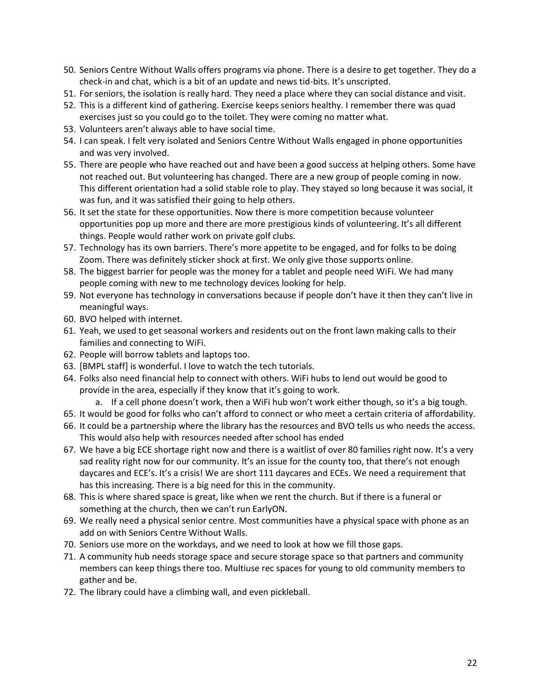- 50. Seniors Centre Without Walls offers programs via phone. There is a desire to get together. They do a check-in and chat, which is a bit of an update and news tid-bits. It's unscripted.
- 51. For seniors, the isolation is really hard. They need a place where they can social distance and visit.
- 52. This is a different kind of gathering. Exercise keeps seniors healthy. I remember there was quad exercises just so you could go to the toilet. They were coming no matter what.
- 53. Volunteers aren't always able to have social time.
- 54. I can speak. I felt very isolated and Seniors Centre Without Walls engaged in phone opportunities and was very involved.
- 55. There are people who have reached out and have been a good success at helping others. Some have not reached out. But volunteering has changed. There are a new group of people coming in now. This different orientation had a solid stable role to play. They stayed so long because it was social, it was fun, and it was satisfied their going to help others.
- 56. It set the state for these opportunities. Now there is more competition because volunteer opportunities pop up more and there are more prestigious kinds of volunteering. It's all different things. People would rather work on private golf clubs.
- 57. Technology has its own barriers. There's more appetite to be engaged, and for folks to be doing Zoom. There was definitely sticker shock at first. We only give those supports online.
- 58. The biggest barrier for people was the money for a tablet and people need WiFi. We had many people coming with new to me technology devices looking for help.
- 59. Not everyone has technology in conversations because if people don't have it then they can't live in meaningful ways.
- 60. BVO helped with internet.
- 61. Yeah, we used to get seasonal workers and residents out on the front lawn making calls to their families and connecting to WiFi.
- 62. People will borrow tablets and laptops too.
- 63. [BMPL staff] is wonderful. I love to watch the tech tutorials.
- 64. Folks also need financial help to connect with others. WiFi hubs to lend out would be good to provide in the area, especially if they know that it's going to work.
	- a. If a cell phone doesn't work, then a WiFi hub won't work either though, so it's a big tough.
- 65. It would be good for folks who can't afford to connect or who meet a certain criteria of affordability.
- 66. It could be a partnership where the library has the resources and BVO tells us who needs the access. This would also help with resources needed after school has ended
- 67. We have a big ECE shortage right now and there is a waitlist of over 80 families right now. It's a very sad reality right now for our community. It's an issue for the county too, that there's not enough daycares and ECE's. It's a crisis! We are short 111 daycares and ECEs. We need a requirement that has this increasing. There is a big need for this in the community.
- 68. This is where shared space is great, like when we rent the church. But if there is a funeral or something at the church, then we can't run EarlyON.
- 69. We really need a physical senior centre. Most communities have a physical space with phone as an add on with Seniors Centre Without Walls.
- 70. Seniors use more on the workdays, and we need to look at how we fill those gaps.
- 71. A community hub needs storage space and secure storage space so that partners and community members can keep things there too. Multiuse rec spaces for young to old community members to gather and be.
- 72. The library could have a climbing wall, and even pickleball.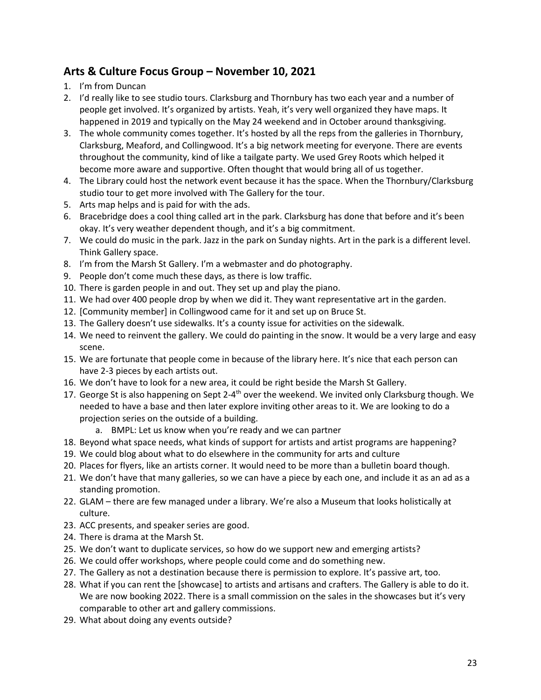# **Arts & Culture Focus Group – November 10, 2021**

- 1. I'm from Duncan
- 2. I'd really like to see studio tours. Clarksburg and Thornbury has two each year and a number of people get involved. It's organized by artists. Yeah, it's very well organized they have maps. It happened in 2019 and typically on the May 24 weekend and in October around thanksgiving.
- 3. The whole community comes together. It's hosted by all the reps from the galleries in Thornbury, Clarksburg, Meaford, and Collingwood. It's a big network meeting for everyone. There are events throughout the community, kind of like a tailgate party. We used Grey Roots which helped it become more aware and supportive. Often thought that would bring all of us together.
- 4. The Library could host the network event because it has the space. When the Thornbury/Clarksburg studio tour to get more involved with The Gallery for the tour.
- 5. Arts map helps and is paid for with the ads.
- 6. Bracebridge does a cool thing called art in the park. Clarksburg has done that before and it's been okay. It's very weather dependent though, and it's a big commitment.
- 7. We could do music in the park. Jazz in the park on Sunday nights. Art in the park is a different level. Think Gallery space.
- 8. I'm from the Marsh St Gallery. I'm a webmaster and do photography.
- 9. People don't come much these days, as there is low traffic.
- 10. There is garden people in and out. They set up and play the piano.
- 11. We had over 400 people drop by when we did it. They want representative art in the garden.
- 12. [Community member] in Collingwood came for it and set up on Bruce St.
- 13. The Gallery doesn't use sidewalks. It's a county issue for activities on the sidewalk.
- 14. We need to reinvent the gallery. We could do painting in the snow. It would be a very large and easy scene.
- 15. We are fortunate that people come in because of the library here. It's nice that each person can have 2-3 pieces by each artists out.
- 16. We don't have to look for a new area, it could be right beside the Marsh St Gallery.
- 17. George St is also happening on Sept 2-4<sup>th</sup> over the weekend. We invited only Clarksburg though. We needed to have a base and then later explore inviting other areas to it. We are looking to do a projection series on the outside of a building.
	- a. BMPL: Let us know when you're ready and we can partner
- 18. Beyond what space needs, what kinds of support for artists and artist programs are happening?
- 19. We could blog about what to do elsewhere in the community for arts and culture
- 20. Places for flyers, like an artists corner. It would need to be more than a bulletin board though.
- 21. We don't have that many galleries, so we can have a piece by each one, and include it as an ad as a standing promotion.
- 22. GLAM there are few managed under a library. We're also a Museum that looks holistically at culture.
- 23. ACC presents, and speaker series are good.
- 24. There is drama at the Marsh St.
- 25. We don't want to duplicate services, so how do we support new and emerging artists?
- 26. We could offer workshops, where people could come and do something new.
- 27. The Gallery as not a destination because there is permission to explore. It's passive art, too.
- 28. What if you can rent the [showcase] to artists and artisans and crafters. The Gallery is able to do it. We are now booking 2022. There is a small commission on the sales in the showcases but it's very comparable to other art and gallery commissions.
- 29. What about doing any events outside?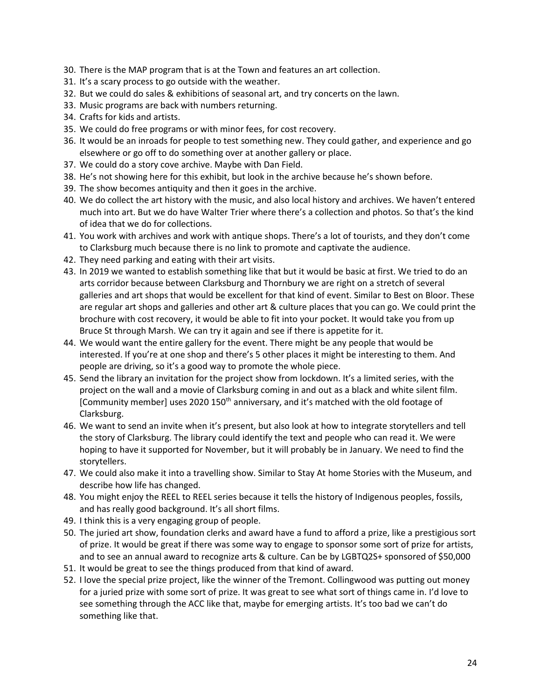- 30. There is the MAP program that is at the Town and features an art collection.
- 31. It's a scary process to go outside with the weather.
- 32. But we could do sales & exhibitions of seasonal art, and try concerts on the lawn.
- 33. Music programs are back with numbers returning.
- 34. Crafts for kids and artists.
- 35. We could do free programs or with minor fees, for cost recovery.
- 36. It would be an inroads for people to test something new. They could gather, and experience and go elsewhere or go off to do something over at another gallery or place.
- 37. We could do a story cove archive. Maybe with Dan Field.
- 38. He's not showing here for this exhibit, but look in the archive because he's shown before.
- 39. The show becomes antiquity and then it goes in the archive.
- 40. We do collect the art history with the music, and also local history and archives. We haven't entered much into art. But we do have Walter Trier where there's a collection and photos. So that's the kind of idea that we do for collections.
- 41. You work with archives and work with antique shops. There's a lot of tourists, and they don't come to Clarksburg much because there is no link to promote and captivate the audience.
- 42. They need parking and eating with their art visits.
- 43. In 2019 we wanted to establish something like that but it would be basic at first. We tried to do an arts corridor because between Clarksburg and Thornbury we are right on a stretch of several galleries and art shops that would be excellent for that kind of event. Similar to Best on Bloor. These are regular art shops and galleries and other art & culture places that you can go. We could print the brochure with cost recovery, it would be able to fit into your pocket. It would take you from up Bruce St through Marsh. We can try it again and see if there is appetite for it.
- 44. We would want the entire gallery for the event. There might be any people that would be interested. If you're at one shop and there's 5 other places it might be interesting to them. And people are driving, so it's a good way to promote the whole piece.
- 45. Send the library an invitation for the project show from lockdown. It's a limited series, with the project on the wall and a movie of Clarksburg coming in and out as a black and white silent film. [Community member] uses 2020 150<sup>th</sup> anniversary, and it's matched with the old footage of Clarksburg.
- 46. We want to send an invite when it's present, but also look at how to integrate storytellers and tell the story of Clarksburg. The library could identify the text and people who can read it. We were hoping to have it supported for November, but it will probably be in January. We need to find the storytellers.
- 47. We could also make it into a travelling show. Similar to Stay At home Stories with the Museum, and describe how life has changed.
- 48. You might enjoy the REEL to REEL series because it tells the history of Indigenous peoples, fossils, and has really good background. It's all short films.
- 49. I think this is a very engaging group of people.
- 50. The juried art show, foundation clerks and award have a fund to afford a prize, like a prestigious sort of prize. It would be great if there was some way to engage to sponsor some sort of prize for artists, and to see an annual award to recognize arts & culture. Can be by LGBTQ2S+ sponsored of \$50,000
- 51. It would be great to see the things produced from that kind of award.
- 52. I love the special prize project, like the winner of the Tremont. Collingwood was putting out money for a juried prize with some sort of prize. It was great to see what sort of things came in. I'd love to see something through the ACC like that, maybe for emerging artists. It's too bad we can't do something like that.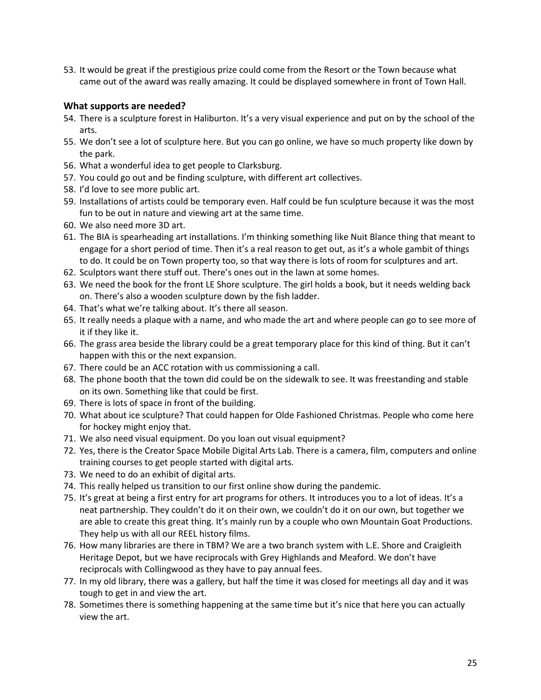53. It would be great if the prestigious prize could come from the Resort or the Town because what came out of the award was really amazing. It could be displayed somewhere in front of Town Hall.

#### **What supports are needed?**

- 54. There is a sculpture forest in Haliburton. It's a very visual experience and put on by the school of the arts.
- 55. We don't see a lot of sculpture here. But you can go online, we have so much property like down by the park.
- 56. What a wonderful idea to get people to Clarksburg.
- 57. You could go out and be finding sculpture, with different art collectives.
- 58. I'd love to see more public art.
- 59. Installations of artists could be temporary even. Half could be fun sculpture because it was the most fun to be out in nature and viewing art at the same time.
- 60. We also need more 3D art.
- 61. The BIA is spearheading art installations. I'm thinking something like Nuit Blance thing that meant to engage for a short period of time. Then it's a real reason to get out, as it's a whole gambit of things to do. It could be on Town property too, so that way there is lots of room for sculptures and art.
- 62. Sculptors want there stuff out. There's ones out in the lawn at some homes.
- 63. We need the book for the front LE Shore sculpture. The girl holds a book, but it needs welding back on. There's also a wooden sculpture down by the fish ladder.
- 64. That's what we're talking about. It's there all season.
- 65. It really needs a plaque with a name, and who made the art and where people can go to see more of it if they like it.
- 66. The grass area beside the library could be a great temporary place for this kind of thing. But it can't happen with this or the next expansion.
- 67. There could be an ACC rotation with us commissioning a call.
- 68. The phone booth that the town did could be on the sidewalk to see. It was freestanding and stable on its own. Something like that could be first.
- 69. There is lots of space in front of the building.
- 70. What about ice sculpture? That could happen for Olde Fashioned Christmas. People who come here for hockey might enjoy that.
- 71. We also need visual equipment. Do you loan out visual equipment?
- 72. Yes, there is the Creator Space Mobile Digital Arts Lab. There is a camera, film, computers and online training courses to get people started with digital arts.
- 73. We need to do an exhibit of digital arts.
- 74. This really helped us transition to our first online show during the pandemic.
- 75. It's great at being a first entry for art programs for others. It introduces you to a lot of ideas. It's a neat partnership. They couldn't do it on their own, we couldn't do it on our own, but together we are able to create this great thing. It's mainly run by a couple who own Mountain Goat Productions. They help us with all our REEL history films.
- 76. How many libraries are there in TBM? We are a two branch system with L.E. Shore and Craigleith Heritage Depot, but we have reciprocals with Grey Highlands and Meaford. We don't have reciprocals with Collingwood as they have to pay annual fees.
- 77. In my old library, there was a gallery, but half the time it was closed for meetings all day and it was tough to get in and view the art.
- 78. Sometimes there is something happening at the same time but it's nice that here you can actually view the art.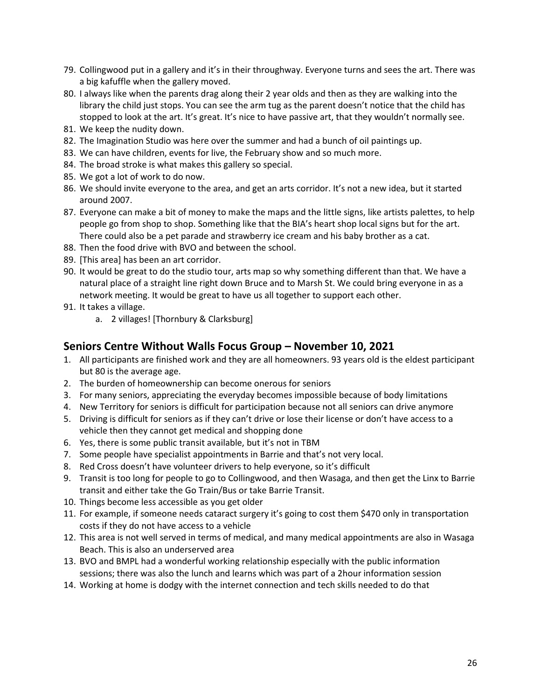- 79. Collingwood put in a gallery and it's in their throughway. Everyone turns and sees the art. There was a big kafuffle when the gallery moved.
- 80. I always like when the parents drag along their 2 year olds and then as they are walking into the library the child just stops. You can see the arm tug as the parent doesn't notice that the child has stopped to look at the art. It's great. It's nice to have passive art, that they wouldn't normally see.
- 81. We keep the nudity down.
- 82. The Imagination Studio was here over the summer and had a bunch of oil paintings up.
- 83. We can have children, events for live, the February show and so much more.
- 84. The broad stroke is what makes this gallery so special.
- 85. We got a lot of work to do now.
- 86. We should invite everyone to the area, and get an arts corridor. It's not a new idea, but it started around 2007.
- 87. Everyone can make a bit of money to make the maps and the little signs, like artists palettes, to help people go from shop to shop. Something like that the BIA's heart shop local signs but for the art. There could also be a pet parade and strawberry ice cream and his baby brother as a cat.
- 88. Then the food drive with BVO and between the school.
- 89. [This area] has been an art corridor.
- 90. It would be great to do the studio tour, arts map so why something different than that. We have a natural place of a straight line right down Bruce and to Marsh St. We could bring everyone in as a network meeting. It would be great to have us all together to support each other.
- 91. It takes a village.
	- a. 2 villages! [Thornbury & Clarksburg]

# **Seniors Centre Without Walls Focus Group – November 10, 2021**

- 1. All participants are finished work and they are all homeowners. 93 years old is the eldest participant but 80 is the average age.
- 2. The burden of homeownership can become onerous for seniors
- 3. For many seniors, appreciating the everyday becomes impossible because of body limitations
- 4. New Territory for seniors is difficult for participation because not all seniors can drive anymore
- 5. Driving is difficult for seniors as if they can't drive or lose their license or don't have access to a vehicle then they cannot get medical and shopping done
- 6. Yes, there is some public transit available, but it's not in TBM
- 7. Some people have specialist appointments in Barrie and that's not very local.
- 8. Red Cross doesn't have volunteer drivers to help everyone, so it's difficult
- 9. Transit is too long for people to go to Collingwood, and then Wasaga, and then get the Linx to Barrie transit and either take the Go Train/Bus or take Barrie Transit.
- 10. Things become less accessible as you get older
- 11. For example, if someone needs cataract surgery it's going to cost them \$470 only in transportation costs if they do not have access to a vehicle
- 12. This area is not well served in terms of medical, and many medical appointments are also in Wasaga Beach. This is also an underserved area
- 13. BVO and BMPL had a wonderful working relationship especially with the public information sessions; there was also the lunch and learns which was part of a 2hour information session
- 14. Working at home is dodgy with the internet connection and tech skills needed to do that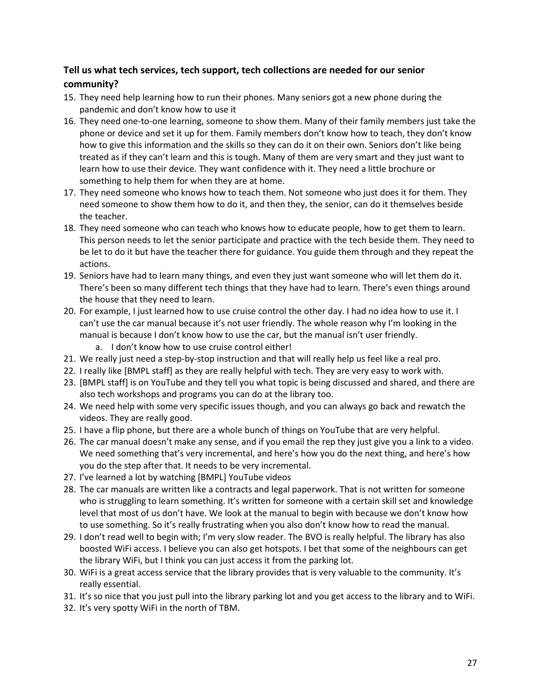# **Tell us what tech services, tech support, tech collections are needed for our senior community?**

- 15. They need help learning how to run their phones. Many seniors got a new phone during the pandemic and don't know how to use it
- 16. They need one-to-one learning, someone to show them. Many of their family members just take the phone or device and set it up for them. Family members don't know how to teach, they don't know how to give this information and the skills so they can do it on their own. Seniors don't like being treated as if they can't learn and this is tough. Many of them are very smart and they just want to learn how to use their device. They want confidence with it. They need a little brochure or something to help them for when they are at home.
- 17. They need someone who knows how to teach them. Not someone who just does it for them. They need someone to show them how to do it, and then they, the senior, can do it themselves beside the teacher.
- 18. They need someone who can teach who knows how to educate people, how to get them to learn. This person needs to let the senior participate and practice with the tech beside them. They need to be let to do it but have the teacher there for guidance. You guide them through and they repeat the actions.
- 19. Seniors have had to learn many things, and even they just want someone who will let them do it. There's been so many different tech things that they have had to learn. There's even things around the house that they need to learn.
- 20. For example, I just learned how to use cruise control the other day. I had no idea how to use it. I can't use the car manual because it's not user friendly. The whole reason why I'm looking in the manual is because I don't know how to use the car, but the manual isn't user friendly.
	- a. I don't know how to use cruise control either!
- 21. We really just need a step-by-stop instruction and that will really help us feel like a real pro.
- 22. I really like [BMPL staff] as they are really helpful with tech. They are very easy to work with.
- 23. [BMPL staff] is on YouTube and they tell you what topic is being discussed and shared, and there are also tech workshops and programs you can do at the library too.
- 24. We need help with some very specific issues though, and you can always go back and rewatch the videos. They are really good.
- 25. I have a flip phone, but there are a whole bunch of things on YouTube that are very helpful.
- 26. The car manual doesn't make any sense, and if you email the rep they just give you a link to a video. We need something that's very incremental, and here's how you do the next thing, and here's how you do the step after that. It needs to be very incremental.
- 27. I've learned a lot by watching [BMPL] YouTube videos
- 28. The car manuals are written like a contracts and legal paperwork. That is not written for someone who is struggling to learn something. It's written for someone with a certain skill set and knowledge level that most of us don't have. We look at the manual to begin with because we don't know how to use something. So it's really frustrating when you also don't know how to read the manual.
- 29. I don't read well to begin with; I'm very slow reader. The BVO is really helpful. The library has also boosted WiFi access. I believe you can also get hotspots. I bet that some of the neighbours can get the library WiFi, but I think you can just access it from the parking lot.
- 30. WiFi is a great access service that the library provides that is very valuable to the community. It's really essential.
- 31. It's so nice that you just pull into the library parking lot and you get access to the library and to WiFi.
- 32. It's very spotty WiFi in the north of TBM.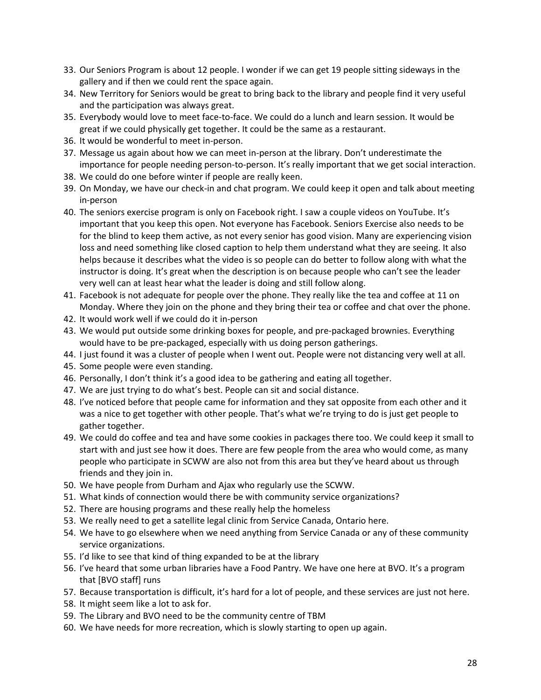- 33. Our Seniors Program is about 12 people. I wonder if we can get 19 people sitting sideways in the gallery and if then we could rent the space again.
- 34. New Territory for Seniors would be great to bring back to the library and people find it very useful and the participation was always great.
- 35. Everybody would love to meet face-to-face. We could do a lunch and learn session. It would be great if we could physically get together. It could be the same as a restaurant.
- 36. It would be wonderful to meet in-person.
- 37. Message us again about how we can meet in-person at the library. Don't underestimate the importance for people needing person-to-person. It's really important that we get social interaction.
- 38. We could do one before winter if people are really keen.
- 39. On Monday, we have our check-in and chat program. We could keep it open and talk about meeting in-person
- 40. The seniors exercise program is only on Facebook right. I saw a couple videos on YouTube. It's important that you keep this open. Not everyone has Facebook. Seniors Exercise also needs to be for the blind to keep them active, as not every senior has good vision. Many are experiencing vision loss and need something like closed caption to help them understand what they are seeing. It also helps because it describes what the video is so people can do better to follow along with what the instructor is doing. It's great when the description is on because people who can't see the leader very well can at least hear what the leader is doing and still follow along.
- 41. Facebook is not adequate for people over the phone. They really like the tea and coffee at 11 on Monday. Where they join on the phone and they bring their tea or coffee and chat over the phone.
- 42. It would work well if we could do it in-person
- 43. We would put outside some drinking boxes for people, and pre-packaged brownies. Everything would have to be pre-packaged, especially with us doing person gatherings.
- 44. I just found it was a cluster of people when I went out. People were not distancing very well at all.
- 45. Some people were even standing.
- 46. Personally, I don't think it's a good idea to be gathering and eating all together.
- 47. We are just trying to do what's best. People can sit and social distance.
- 48. I've noticed before that people came for information and they sat opposite from each other and it was a nice to get together with other people. That's what we're trying to do is just get people to gather together.
- 49. We could do coffee and tea and have some cookies in packages there too. We could keep it small to start with and just see how it does. There are few people from the area who would come, as many people who participate in SCWW are also not from this area but they've heard about us through friends and they join in.
- 50. We have people from Durham and Ajax who regularly use the SCWW.
- 51. What kinds of connection would there be with community service organizations?
- 52. There are housing programs and these really help the homeless
- 53. We really need to get a satellite legal clinic from Service Canada, Ontario here.
- 54. We have to go elsewhere when we need anything from Service Canada or any of these community service organizations.
- 55. I'd like to see that kind of thing expanded to be at the library
- 56. I've heard that some urban libraries have a Food Pantry. We have one here at BVO. It's a program that [BVO staff] runs
- 57. Because transportation is difficult, it's hard for a lot of people, and these services are just not here.
- 58. It might seem like a lot to ask for.
- 59. The Library and BVO need to be the community centre of TBM
- 60. We have needs for more recreation, which is slowly starting to open up again.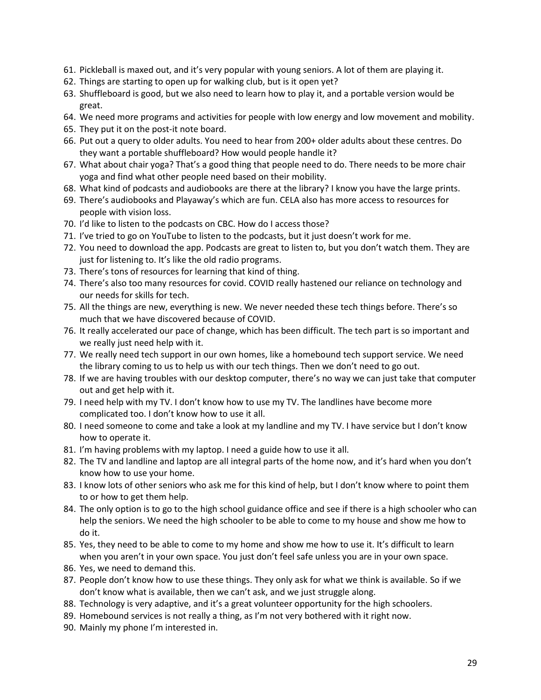- 61. Pickleball is maxed out, and it's very popular with young seniors. A lot of them are playing it.
- 62. Things are starting to open up for walking club, but is it open yet?
- 63. Shuffleboard is good, but we also need to learn how to play it, and a portable version would be great.
- 64. We need more programs and activities for people with low energy and low movement and mobility.
- 65. They put it on the post-it note board.
- 66. Put out a query to older adults. You need to hear from 200+ older adults about these centres. Do they want a portable shuffleboard? How would people handle it?
- 67. What about chair yoga? That's a good thing that people need to do. There needs to be more chair yoga and find what other people need based on their mobility.
- 68. What kind of podcasts and audiobooks are there at the library? I know you have the large prints.
- 69. There's audiobooks and Playaway's which are fun. CELA also has more access to resources for people with vision loss.
- 70. I'd like to listen to the podcasts on CBC. How do I access those?
- 71. I've tried to go on YouTube to listen to the podcasts, but it just doesn't work for me.
- 72. You need to download the app. Podcasts are great to listen to, but you don't watch them. They are just for listening to. It's like the old radio programs.
- 73. There's tons of resources for learning that kind of thing.
- 74. There's also too many resources for covid. COVID really hastened our reliance on technology and our needs for skills for tech.
- 75. All the things are new, everything is new. We never needed these tech things before. There's so much that we have discovered because of COVID.
- 76. It really accelerated our pace of change, which has been difficult. The tech part is so important and we really just need help with it.
- 77. We really need tech support in our own homes, like a homebound tech support service. We need the library coming to us to help us with our tech things. Then we don't need to go out.
- 78. If we are having troubles with our desktop computer, there's no way we can just take that computer out and get help with it.
- 79. I need help with my TV. I don't know how to use my TV. The landlines have become more complicated too. I don't know how to use it all.
- 80. I need someone to come and take a look at my landline and my TV. I have service but I don't know how to operate it.
- 81. I'm having problems with my laptop. I need a guide how to use it all.
- 82. The TV and landline and laptop are all integral parts of the home now, and it's hard when you don't know how to use your home.
- 83. I know lots of other seniors who ask me for this kind of help, but I don't know where to point them to or how to get them help.
- 84. The only option is to go to the high school guidance office and see if there is a high schooler who can help the seniors. We need the high schooler to be able to come to my house and show me how to do it.
- 85. Yes, they need to be able to come to my home and show me how to use it. It's difficult to learn when you aren't in your own space. You just don't feel safe unless you are in your own space.
- 86. Yes, we need to demand this.
- 87. People don't know how to use these things. They only ask for what we think is available. So if we don't know what is available, then we can't ask, and we just struggle along.
- 88. Technology is very adaptive, and it's a great volunteer opportunity for the high schoolers.
- 89. Homebound services is not really a thing, as I'm not very bothered with it right now.
- 90. Mainly my phone I'm interested in.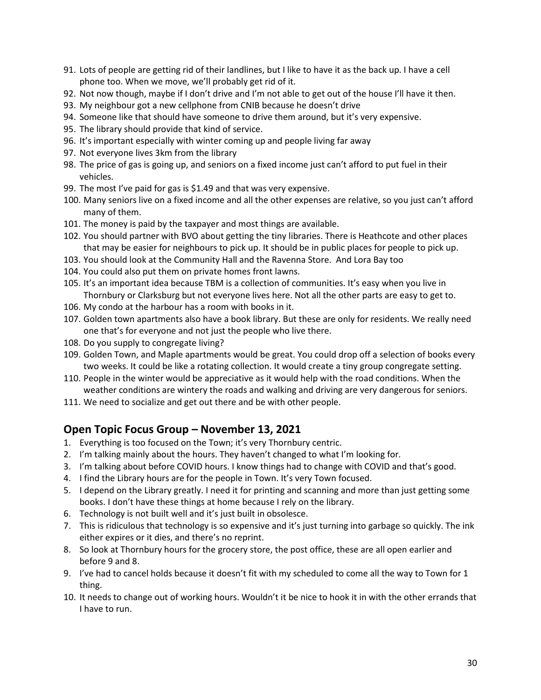- 91. Lots of people are getting rid of their landlines, but I like to have it as the back up. I have a cell phone too. When we move, we'll probably get rid of it.
- 92. Not now though, maybe if I don't drive and I'm not able to get out of the house I'll have it then.
- 93. My neighbour got a new cellphone from CNIB because he doesn't drive
- 94. Someone like that should have someone to drive them around, but it's very expensive.
- 95. The library should provide that kind of service.
- 96. It's important especially with winter coming up and people living far away
- 97. Not everyone lives 3km from the library
- 98. The price of gas is going up, and seniors on a fixed income just can't afford to put fuel in their vehicles.
- 99. The most I've paid for gas is \$1.49 and that was very expensive.
- 100. Many seniors live on a fixed income and all the other expenses are relative, so you just can't afford many of them.
- 101. The money is paid by the taxpayer and most things are available.
- 102. You should partner with BVO about getting the tiny libraries. There is Heathcote and other places that may be easier for neighbours to pick up. It should be in public places for people to pick up.
- 103. You should look at the Community Hall and the Ravenna Store. And Lora Bay too
- 104. You could also put them on private homes front lawns.
- 105. It's an important idea because TBM is a collection of communities. It's easy when you live in Thornbury or Clarksburg but not everyone lives here. Not all the other parts are easy to get to.
- 106. My condo at the harbour has a room with books in it.
- 107. Golden town apartments also have a book library. But these are only for residents. We really need one that's for everyone and not just the people who live there.
- 108. Do you supply to congregate living?
- 109. Golden Town, and Maple apartments would be great. You could drop off a selection of books every two weeks. It could be like a rotating collection. It would create a tiny group congregate setting.
- 110. People in the winter would be appreciative as it would help with the road conditions. When the weather conditions are wintery the roads and walking and driving are very dangerous for seniors.
- 111. We need to socialize and get out there and be with other people.

## **Open Topic Focus Group – November 13, 2021**

- 1. Everything is too focused on the Town; it's very Thornbury centric.
- 2. I'm talking mainly about the hours. They haven't changed to what I'm looking for.
- 3. I'm talking about before COVID hours. I know things had to change with COVID and that's good.
- 4. I find the Library hours are for the people in Town. It's very Town focused.
- 5. I depend on the Library greatly. I need it for printing and scanning and more than just getting some books. I don't have these things at home because I rely on the library.
- 6. Technology is not built well and it's just built in obsolesce.
- 7. This is ridiculous that technology is so expensive and it's just turning into garbage so quickly. The ink either expires or it dies, and there's no reprint.
- 8. So look at Thornbury hours for the grocery store, the post office, these are all open earlier and before 9 and 8.
- 9. I've had to cancel holds because it doesn't fit with my scheduled to come all the way to Town for 1 thing.
- 10. It needs to change out of working hours. Wouldn't it be nice to hook it in with the other errands that I have to run.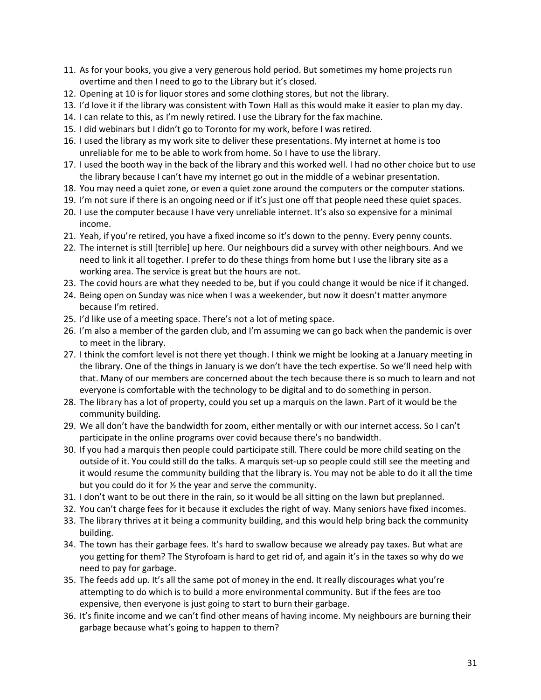- 11. As for your books, you give a very generous hold period. But sometimes my home projects run overtime and then I need to go to the Library but it's closed.
- 12. Opening at 10 is for liquor stores and some clothing stores, but not the library.
- 13. I'd love it if the library was consistent with Town Hall as this would make it easier to plan my day.
- 14. I can relate to this, as I'm newly retired. I use the Library for the fax machine.
- 15. I did webinars but I didn't go to Toronto for my work, before I was retired.
- 16. I used the library as my work site to deliver these presentations. My internet at home is too unreliable for me to be able to work from home. So I have to use the library.
- 17. I used the booth way in the back of the library and this worked well. I had no other choice but to use the library because I can't have my internet go out in the middle of a webinar presentation.
- 18. You may need a quiet zone, or even a quiet zone around the computers or the computer stations.
- 19. I'm not sure if there is an ongoing need or if it's just one off that people need these quiet spaces.
- 20. I use the computer because I have very unreliable internet. It's also so expensive for a minimal income.
- 21. Yeah, if you're retired, you have a fixed income so it's down to the penny. Every penny counts.
- 22. The internet is still [terrible] up here. Our neighbours did a survey with other neighbours. And we need to link it all together. I prefer to do these things from home but I use the library site as a working area. The service is great but the hours are not.
- 23. The covid hours are what they needed to be, but if you could change it would be nice if it changed.
- 24. Being open on Sunday was nice when I was a weekender, but now it doesn't matter anymore because I'm retired.
- 25. I'd like use of a meeting space. There's not a lot of meting space.
- 26. I'm also a member of the garden club, and I'm assuming we can go back when the pandemic is over to meet in the library.
- 27. I think the comfort level is not there yet though. I think we might be looking at a January meeting in the library. One of the things in January is we don't have the tech expertise. So we'll need help with that. Many of our members are concerned about the tech because there is so much to learn and not everyone is comfortable with the technology to be digital and to do something in person.
- 28. The library has a lot of property, could you set up a marquis on the lawn. Part of it would be the community building.
- 29. We all don't have the bandwidth for zoom, either mentally or with our internet access. So I can't participate in the online programs over covid because there's no bandwidth.
- 30. If you had a marquis then people could participate still. There could be more child seating on the outside of it. You could still do the talks. A marquis set-up so people could still see the meeting and it would resume the community building that the library is. You may not be able to do it all the time but you could do it for ½ the year and serve the community.
- 31. I don't want to be out there in the rain, so it would be all sitting on the lawn but preplanned.
- 32. You can't charge fees for it because it excludes the right of way. Many seniors have fixed incomes.
- 33. The library thrives at it being a community building, and this would help bring back the community building.
- 34. The town has their garbage fees. It's hard to swallow because we already pay taxes. But what are you getting for them? The Styrofoam is hard to get rid of, and again it's in the taxes so why do we need to pay for garbage.
- 35. The feeds add up. It's all the same pot of money in the end. It really discourages what you're attempting to do which is to build a more environmental community. But if the fees are too expensive, then everyone is just going to start to burn their garbage.
- 36. It's finite income and we can't find other means of having income. My neighbours are burning their garbage because what's going to happen to them?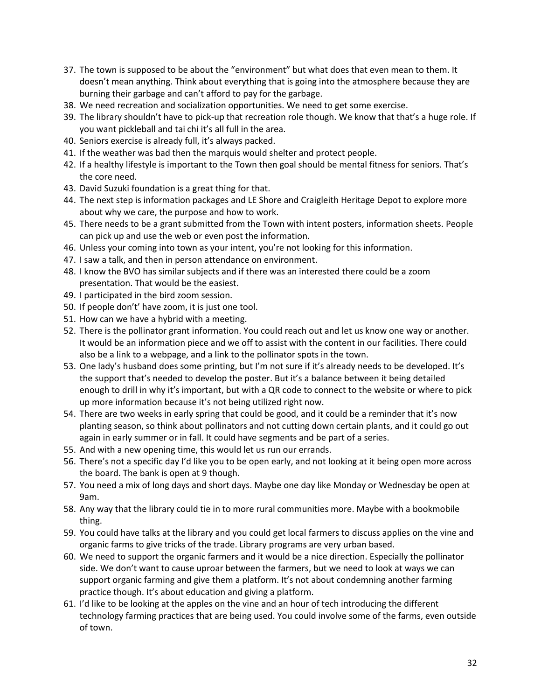- 37. The town is supposed to be about the "environment" but what does that even mean to them. It doesn't mean anything. Think about everything that is going into the atmosphere because they are burning their garbage and can't afford to pay for the garbage.
- 38. We need recreation and socialization opportunities. We need to get some exercise.
- 39. The library shouldn't have to pick-up that recreation role though. We know that that's a huge role. If you want pickleball and tai chi it's all full in the area.
- 40. Seniors exercise is already full, it's always packed.
- 41. If the weather was bad then the marquis would shelter and protect people.
- 42. If a healthy lifestyle is important to the Town then goal should be mental fitness for seniors. That's the core need.
- 43. David Suzuki foundation is a great thing for that.
- 44. The next step is information packages and LE Shore and Craigleith Heritage Depot to explore more about why we care, the purpose and how to work.
- 45. There needs to be a grant submitted from the Town with intent posters, information sheets. People can pick up and use the web or even post the information.
- 46. Unless your coming into town as your intent, you're not looking for this information.
- 47. I saw a talk, and then in person attendance on environment.
- 48. I know the BVO has similar subjects and if there was an interested there could be a zoom presentation. That would be the easiest.
- 49. I participated in the bird zoom session.
- 50. If people don't' have zoom, it is just one tool.
- 51. How can we have a hybrid with a meeting.
- 52. There is the pollinator grant information. You could reach out and let us know one way or another. It would be an information piece and we off to assist with the content in our facilities. There could also be a link to a webpage, and a link to the pollinator spots in the town.
- 53. One lady's husband does some printing, but I'm not sure if it's already needs to be developed. It's the support that's needed to develop the poster. But it's a balance between it being detailed enough to drill in why it's important, but with a QR code to connect to the website or where to pick up more information because it's not being utilized right now.
- 54. There are two weeks in early spring that could be good, and it could be a reminder that it's now planting season, so think about pollinators and not cutting down certain plants, and it could go out again in early summer or in fall. It could have segments and be part of a series.
- 55. And with a new opening time, this would let us run our errands.
- 56. There's not a specific day I'd like you to be open early, and not looking at it being open more across the board. The bank is open at 9 though.
- 57. You need a mix of long days and short days. Maybe one day like Monday or Wednesday be open at 9am.
- 58. Any way that the library could tie in to more rural communities more. Maybe with a bookmobile thing.
- 59. You could have talks at the library and you could get local farmers to discuss applies on the vine and organic farms to give tricks of the trade. Library programs are very urban based.
- 60. We need to support the organic farmers and it would be a nice direction. Especially the pollinator side. We don't want to cause uproar between the farmers, but we need to look at ways we can support organic farming and give them a platform. It's not about condemning another farming practice though. It's about education and giving a platform.
- 61. I'd like to be looking at the apples on the vine and an hour of tech introducing the different technology farming practices that are being used. You could involve some of the farms, even outside of town.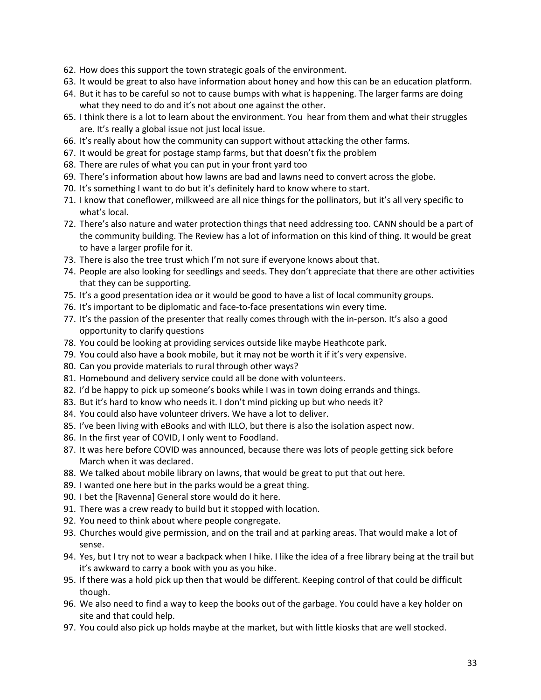- 62. How does this support the town strategic goals of the environment.
- 63. It would be great to also have information about honey and how this can be an education platform.
- 64. But it has to be careful so not to cause bumps with what is happening. The larger farms are doing what they need to do and it's not about one against the other.
- 65. I think there is a lot to learn about the environment. You hear from them and what their struggles are. It's really a global issue not just local issue.
- 66. It's really about how the community can support without attacking the other farms.
- 67. It would be great for postage stamp farms, but that doesn't fix the problem
- 68. There are rules of what you can put in your front yard too
- 69. There's information about how lawns are bad and lawns need to convert across the globe.
- 70. It's something I want to do but it's definitely hard to know where to start.
- 71. I know that coneflower, milkweed are all nice things for the pollinators, but it's all very specific to what's local.
- 72. There's also nature and water protection things that need addressing too. CANN should be a part of the community building. The Review has a lot of information on this kind of thing. It would be great to have a larger profile for it.
- 73. There is also the tree trust which I'm not sure if everyone knows about that.
- 74. People are also looking for seedlings and seeds. They don't appreciate that there are other activities that they can be supporting.
- 75. It's a good presentation idea or it would be good to have a list of local community groups.
- 76. It's important to be diplomatic and face-to-face presentations win every time.
- 77. It's the passion of the presenter that really comes through with the in-person. It's also a good opportunity to clarify questions
- 78. You could be looking at providing services outside like maybe Heathcote park.
- 79. You could also have a book mobile, but it may not be worth it if it's very expensive.
- 80. Can you provide materials to rural through other ways?
- 81. Homebound and delivery service could all be done with volunteers.
- 82. I'd be happy to pick up someone's books while I was in town doing errands and things.
- 83. But it's hard to know who needs it. I don't mind picking up but who needs it?
- 84. You could also have volunteer drivers. We have a lot to deliver.
- 85. I've been living with eBooks and with ILLO, but there is also the isolation aspect now.
- 86. In the first year of COVID, I only went to Foodland.
- 87. It was here before COVID was announced, because there was lots of people getting sick before March when it was declared.
- 88. We talked about mobile library on lawns, that would be great to put that out here.
- 89. I wanted one here but in the parks would be a great thing.
- 90. I bet the [Ravenna] General store would do it here.
- 91. There was a crew ready to build but it stopped with location.
- 92. You need to think about where people congregate.
- 93. Churches would give permission, and on the trail and at parking areas. That would make a lot of sense.
- 94. Yes, but I try not to wear a backpack when I hike. I like the idea of a free library being at the trail but it's awkward to carry a book with you as you hike.
- 95. If there was a hold pick up then that would be different. Keeping control of that could be difficult though.
- 96. We also need to find a way to keep the books out of the garbage. You could have a key holder on site and that could help.
- 97. You could also pick up holds maybe at the market, but with little kiosks that are well stocked.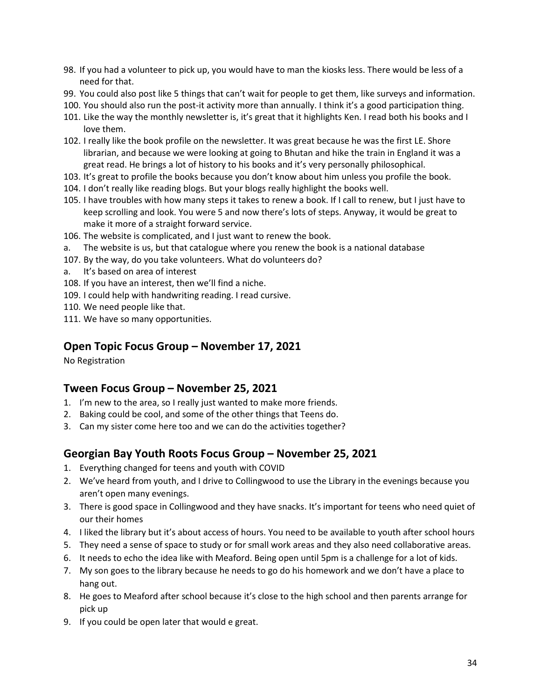- 98. If you had a volunteer to pick up, you would have to man the kiosks less. There would be less of a need for that.
- 99. You could also post like 5 things that can't wait for people to get them, like surveys and information.
- 100. You should also run the post-it activity more than annually. I think it's a good participation thing.
- 101. Like the way the monthly newsletter is, it's great that it highlights Ken. I read both his books and I love them.
- 102. I really like the book profile on the newsletter. It was great because he was the first LE. Shore librarian, and because we were looking at going to Bhutan and hike the train in England it was a great read. He brings a lot of history to his books and it's very personally philosophical.
- 103. It's great to profile the books because you don't know about him unless you profile the book.
- 104. I don't really like reading blogs. But your blogs really highlight the books well.
- 105. I have troubles with how many steps it takes to renew a book. If I call to renew, but I just have to keep scrolling and look. You were 5 and now there's lots of steps. Anyway, it would be great to make it more of a straight forward service.
- 106. The website is complicated, and I just want to renew the book.
- a. The website is us, but that catalogue where you renew the book is a national database
- 107. By the way, do you take volunteers. What do volunteers do?
- a. It's based on area of interest
- 108. If you have an interest, then we'll find a niche.
- 109. I could help with handwriting reading. I read cursive.
- 110. We need people like that.
- 111. We have so many opportunities.

# **Open Topic Focus Group – November 17, 2021**

No Registration

# **Tween Focus Group – November 25, 2021**

- 1. I'm new to the area, so I really just wanted to make more friends.
- 2. Baking could be cool, and some of the other things that Teens do.
- 3. Can my sister come here too and we can do the activities together?

# **Georgian Bay Youth Roots Focus Group – November 25, 2021**

- 1. Everything changed for teens and youth with COVID
- 2. We've heard from youth, and I drive to Collingwood to use the Library in the evenings because you aren't open many evenings.
- 3. There is good space in Collingwood and they have snacks. It's important for teens who need quiet of our their homes
- 4. I liked the library but it's about access of hours. You need to be available to youth after school hours
- 5. They need a sense of space to study or for small work areas and they also need collaborative areas.
- 6. It needs to echo the idea like with Meaford. Being open until 5pm is a challenge for a lot of kids.
- 7. My son goes to the library because he needs to go do his homework and we don't have a place to hang out.
- 8. He goes to Meaford after school because it's close to the high school and then parents arrange for pick up
- 9. If you could be open later that would e great.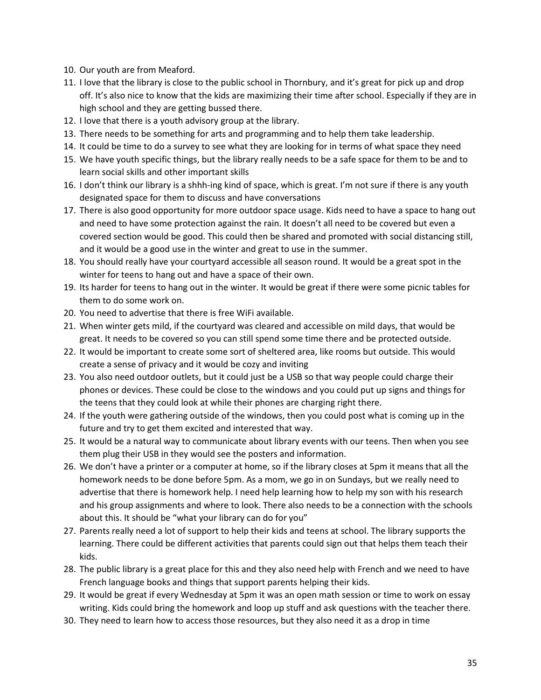- 10. Our youth are from Meaford.
- 11. I love that the library is close to the public school in Thornbury, and it's great for pick up and drop off. It's also nice to know that the kids are maximizing their time after school. Especially if they are in high school and they are getting bussed there.
- 12. I love that there is a youth advisory group at the library.
- 13. There needs to be something for arts and programming and to help them take leadership.
- 14. It could be time to do a survey to see what they are looking for in terms of what space they need
- 15. We have youth specific things, but the library really needs to be a safe space for them to be and to learn social skills and other important skills
- 16. I don't think our library is a shhh-ing kind of space, which is great. I'm not sure if there is any youth designated space for them to discuss and have conversations
- 17. There is also good opportunity for more outdoor space usage. Kids need to have a space to hang out and need to have some protection against the rain. It doesn't all need to be covered but even a covered section would be good. This could then be shared and promoted with social distancing still, and it would be a good use in the winter and great to use in the summer.
- 18. You should really have your courtyard accessible all season round. It would be a great spot in the winter for teens to hang out and have a space of their own.
- 19. Its harder for teens to hang out in the winter. It would be great if there were some picnic tables for them to do some work on.
- 20. You need to advertise that there is free WiFi available.
- 21. When winter gets mild, if the courtyard was cleared and accessible on mild days, that would be great. It needs to be covered so you can still spend some time there and be protected outside.
- 22. It would be important to create some sort of sheltered area, like rooms but outside. This would create a sense of privacy and it would be cozy and inviting
- 23. You also need outdoor outlets, but it could just be a USB so that way people could charge their phones or devices. These could be close to the windows and you could put up signs and things for the teens that they could look at while their phones are charging right there.
- 24. If the youth were gathering outside of the windows, then you could post what is coming up in the future and try to get them excited and interested that way.
- 25. It would be a natural way to communicate about library events with our teens. Then when you see them plug their USB in they would see the posters and information.
- 26. We don't have a printer or a computer at home, so if the library closes at 5pm it means that all the homework needs to be done before 5pm. As a mom, we go in on Sundays, but we really need to advertise that there is homework help. I need help learning how to help my son with his research and his group assignments and where to look. There also needs to be a connection with the schools about this. It should be "what your library can do for you"
- 27. Parents really need a lot of support to help their kids and teens at school. The library supports the learning. There could be different activities that parents could sign out that helps them teach their kids.
- 28. The public library is a great place for this and they also need help with French and we need to have French language books and things that support parents helping their kids.
- 29. It would be great if every Wednesday at 5pm it was an open math session or time to work on essay writing. Kids could bring the homework and loop up stuff and ask questions with the teacher there.
- 30. They need to learn how to access those resources, but they also need it as a drop in time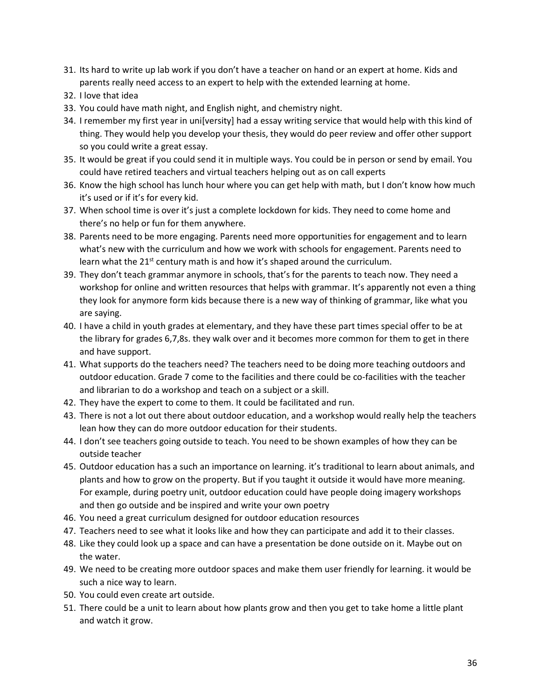- 31. Its hard to write up lab work if you don't have a teacher on hand or an expert at home. Kids and parents really need access to an expert to help with the extended learning at home.
- 32. I love that idea
- 33. You could have math night, and English night, and chemistry night.
- 34. I remember my first year in uni[versity] had a essay writing service that would help with this kind of thing. They would help you develop your thesis, they would do peer review and offer other support so you could write a great essay.
- 35. It would be great if you could send it in multiple ways. You could be in person or send by email. You could have retired teachers and virtual teachers helping out as on call experts
- 36. Know the high school has lunch hour where you can get help with math, but I don't know how much it's used or if it's for every kid.
- 37. When school time is over it's just a complete lockdown for kids. They need to come home and there's no help or fun for them anywhere.
- 38. Parents need to be more engaging. Parents need more opportunities for engagement and to learn what's new with the curriculum and how we work with schools for engagement. Parents need to learn what the 21<sup>st</sup> century math is and how it's shaped around the curriculum.
- 39. They don't teach grammar anymore in schools, that's for the parents to teach now. They need a workshop for online and written resources that helps with grammar. It's apparently not even a thing they look for anymore form kids because there is a new way of thinking of grammar, like what you are saying.
- 40. I have a child in youth grades at elementary, and they have these part times special offer to be at the library for grades 6,7,8s. they walk over and it becomes more common for them to get in there and have support.
- 41. What supports do the teachers need? The teachers need to be doing more teaching outdoors and outdoor education. Grade 7 come to the facilities and there could be co-facilities with the teacher and librarian to do a workshop and teach on a subject or a skill.
- 42. They have the expert to come to them. It could be facilitated and run.
- 43. There is not a lot out there about outdoor education, and a workshop would really help the teachers lean how they can do more outdoor education for their students.
- 44. I don't see teachers going outside to teach. You need to be shown examples of how they can be outside teacher
- 45. Outdoor education has a such an importance on learning. it's traditional to learn about animals, and plants and how to grow on the property. But if you taught it outside it would have more meaning. For example, during poetry unit, outdoor education could have people doing imagery workshops and then go outside and be inspired and write your own poetry
- 46. You need a great curriculum designed for outdoor education resources
- 47. Teachers need to see what it looks like and how they can participate and add it to their classes.
- 48. Like they could look up a space and can have a presentation be done outside on it. Maybe out on the water.
- 49. We need to be creating more outdoor spaces and make them user friendly for learning. it would be such a nice way to learn.
- 50. You could even create art outside.
- 51. There could be a unit to learn about how plants grow and then you get to take home a little plant and watch it grow.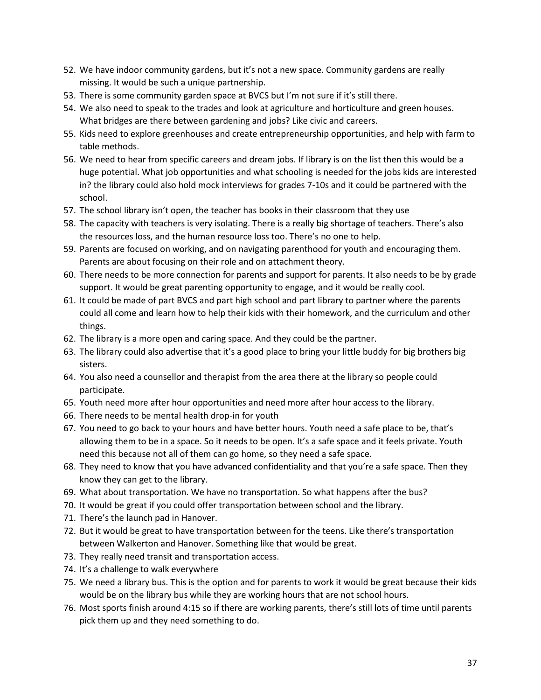- 52. We have indoor community gardens, but it's not a new space. Community gardens are really missing. It would be such a unique partnership.
- 53. There is some community garden space at BVCS but I'm not sure if it's still there.
- 54. We also need to speak to the trades and look at agriculture and horticulture and green houses. What bridges are there between gardening and jobs? Like civic and careers.
- 55. Kids need to explore greenhouses and create entrepreneurship opportunities, and help with farm to table methods.
- 56. We need to hear from specific careers and dream jobs. If library is on the list then this would be a huge potential. What job opportunities and what schooling is needed for the jobs kids are interested in? the library could also hold mock interviews for grades 7-10s and it could be partnered with the school.
- 57. The school library isn't open, the teacher has books in their classroom that they use
- 58. The capacity with teachers is very isolating. There is a really big shortage of teachers. There's also the resources loss, and the human resource loss too. There's no one to help.
- 59. Parents are focused on working, and on navigating parenthood for youth and encouraging them. Parents are about focusing on their role and on attachment theory.
- 60. There needs to be more connection for parents and support for parents. It also needs to be by grade support. It would be great parenting opportunity to engage, and it would be really cool.
- 61. It could be made of part BVCS and part high school and part library to partner where the parents could all come and learn how to help their kids with their homework, and the curriculum and other things.
- 62. The library is a more open and caring space. And they could be the partner.
- 63. The library could also advertise that it's a good place to bring your little buddy for big brothers big sisters.
- 64. You also need a counsellor and therapist from the area there at the library so people could participate.
- 65. Youth need more after hour opportunities and need more after hour access to the library.
- 66. There needs to be mental health drop-in for youth
- 67. You need to go back to your hours and have better hours. Youth need a safe place to be, that's allowing them to be in a space. So it needs to be open. It's a safe space and it feels private. Youth need this because not all of them can go home, so they need a safe space.
- 68. They need to know that you have advanced confidentiality and that you're a safe space. Then they know they can get to the library.
- 69. What about transportation. We have no transportation. So what happens after the bus?
- 70. It would be great if you could offer transportation between school and the library.
- 71. There's the launch pad in Hanover.
- 72. But it would be great to have transportation between for the teens. Like there's transportation between Walkerton and Hanover. Something like that would be great.
- 73. They really need transit and transportation access.
- 74. It's a challenge to walk everywhere
- 75. We need a library bus. This is the option and for parents to work it would be great because their kids would be on the library bus while they are working hours that are not school hours.
- 76. Most sports finish around 4:15 so if there are working parents, there's still lots of time until parents pick them up and they need something to do.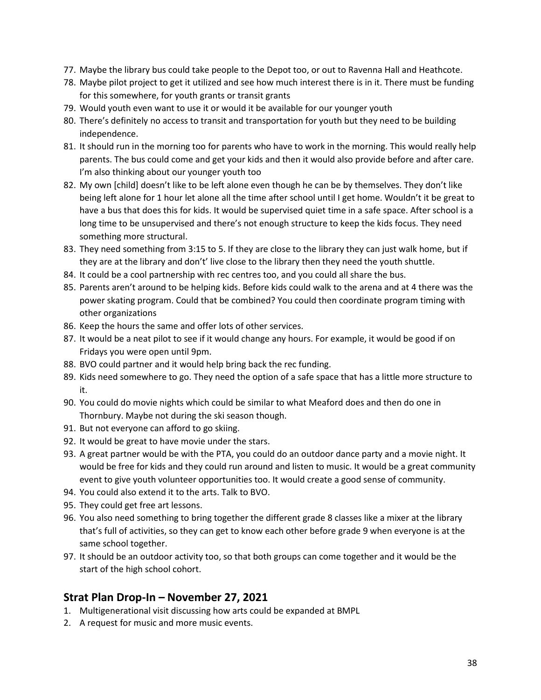- 77. Maybe the library bus could take people to the Depot too, or out to Ravenna Hall and Heathcote.
- 78. Maybe pilot project to get it utilized and see how much interest there is in it. There must be funding for this somewhere, for youth grants or transit grants
- 79. Would youth even want to use it or would it be available for our younger youth
- 80. There's definitely no access to transit and transportation for youth but they need to be building independence.
- 81. It should run in the morning too for parents who have to work in the morning. This would really help parents. The bus could come and get your kids and then it would also provide before and after care. I'm also thinking about our younger youth too
- 82. My own [child] doesn't like to be left alone even though he can be by themselves. They don't like being left alone for 1 hour let alone all the time after school until I get home. Wouldn't it be great to have a bus that does this for kids. It would be supervised quiet time in a safe space. After school is a long time to be unsupervised and there's not enough structure to keep the kids focus. They need something more structural.
- 83. They need something from 3:15 to 5. If they are close to the library they can just walk home, but if they are at the library and don't' live close to the library then they need the youth shuttle.
- 84. It could be a cool partnership with rec centres too, and you could all share the bus.
- 85. Parents aren't around to be helping kids. Before kids could walk to the arena and at 4 there was the power skating program. Could that be combined? You could then coordinate program timing with other organizations
- 86. Keep the hours the same and offer lots of other services.
- 87. It would be a neat pilot to see if it would change any hours. For example, it would be good if on Fridays you were open until 9pm.
- 88. BVO could partner and it would help bring back the rec funding.
- 89. Kids need somewhere to go. They need the option of a safe space that has a little more structure to it.
- 90. You could do movie nights which could be similar to what Meaford does and then do one in Thornbury. Maybe not during the ski season though.
- 91. But not everyone can afford to go skiing.
- 92. It would be great to have movie under the stars.
- 93. A great partner would be with the PTA, you could do an outdoor dance party and a movie night. It would be free for kids and they could run around and listen to music. It would be a great community event to give youth volunteer opportunities too. It would create a good sense of community.
- 94. You could also extend it to the arts. Talk to BVO.
- 95. They could get free art lessons.
- 96. You also need something to bring together the different grade 8 classes like a mixer at the library that's full of activities, so they can get to know each other before grade 9 when everyone is at the same school together.
- 97. It should be an outdoor activity too, so that both groups can come together and it would be the start of the high school cohort.

## **Strat Plan Drop-In – November 27, 2021**

- 1. Multigenerational visit discussing how arts could be expanded at BMPL
- 2. A request for music and more music events.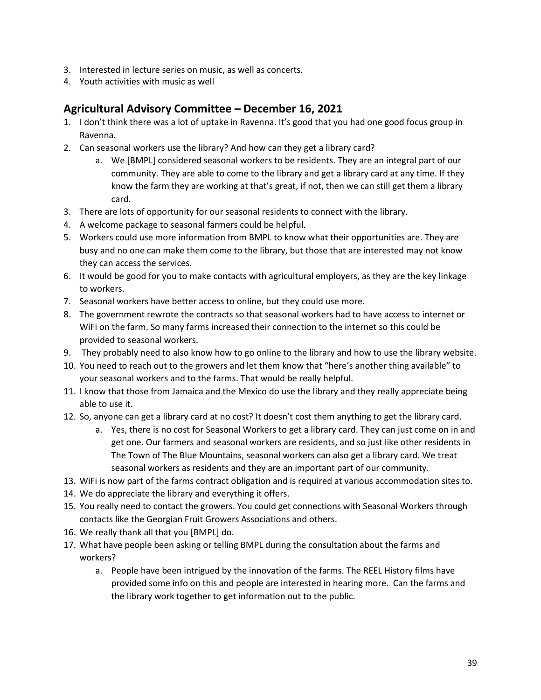- 3. Interested in lecture series on music, as well as concerts.
- 4. Youth activities with music as well

# **Agricultural Advisory Committee – December 16, 2021**

- 1. I don't think there was a lot of uptake in Ravenna. It's good that you had one good focus group in Ravenna.
- 2. Can seasonal workers use the library? And how can they get a library card?
	- a. We [BMPL] considered seasonal workers to be residents. They are an integral part of our community. They are able to come to the library and get a library card at any time. If they know the farm they are working at that's great, if not, then we can still get them a library card.
- 3. There are lots of opportunity for our seasonal residents to connect with the library.
- 4. A welcome package to seasonal farmers could be helpful.
- 5. Workers could use more information from BMPL to know what their opportunities are. They are busy and no one can make them come to the library, but those that are interested may not know they can access the services.
- 6. It would be good for you to make contacts with agricultural employers, as they are the key linkage to workers.
- 7. Seasonal workers have better access to online, but they could use more.
- 8. The government rewrote the contracts so that seasonal workers had to have access to internet or WiFi on the farm. So many farms increased their connection to the internet so this could be provided to seasonal workers.
- 9. They probably need to also know how to go online to the library and how to use the library website.
- 10. You need to reach out to the growers and let them know that "here's another thing available" to your seasonal workers and to the farms. That would be really helpful.
- 11. I know that those from Jamaica and the Mexico do use the library and they really appreciate being able to use it.
- 12. So, anyone can get a library card at no cost? It doesn't cost them anything to get the library card.
	- a. Yes, there is no cost for Seasonal Workers to get a library card. They can just come on in and get one. Our farmers and seasonal workers are residents, and so just like other residents in The Town of The Blue Mountains, seasonal workers can also get a library card. We treat seasonal workers as residents and they are an important part of our community.
- 13. WiFi is now part of the farms contract obligation and is required at various accommodation sites to.
- 14. We do appreciate the library and everything it offers.
- 15. You really need to contact the growers. You could get connections with Seasonal Workers through contacts like the Georgian Fruit Growers Associations and others.
- 16. We really thank all that you [BMPL] do.
- 17. What have people been asking or telling BMPL during the consultation about the farms and workers?
	- a. People have been intrigued by the innovation of the farms. The REEL History films have provided some info on this and people are interested in hearing more. Can the farms and the library work together to get information out to the public.